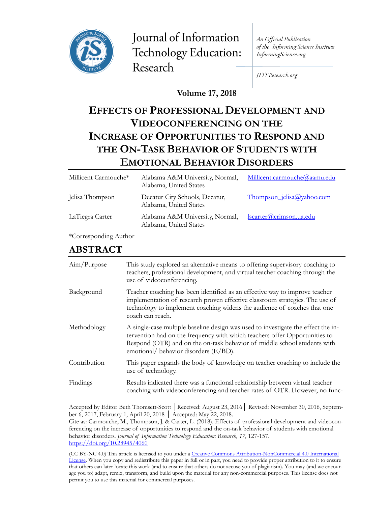

Journal of Information Technology Education: Research

An Official Publication of the Informing Science Institute InformingScience.org

JITEResearch.org

**Volume 17, 2018**

# **EFFECTS OF PROFESSIONAL DEVELOPMENT AND VIDEOCONFERENCING ON THE INCREASE OF OPPORTUNITIES TO RESPOND AND THE ON-TASK BEHAVIOR OF STUDENTS WITH EMOTIONAL BEHAVIOR DISORDERS**

| Millicent Carmouche* | Alabama A&M University, Normal,<br>Alabama, United States | Millicent.carmouche@aamu.edu     |
|----------------------|-----------------------------------------------------------|----------------------------------|
| Jelisa Thompson      | Decatur City Schools, Decatur,<br>Alabama, United States  | <u>Thompson jelisa@yahoo.com</u> |
| LaTiegra Carter      | Alabama A&M University, Normal,<br>Alabama, United States | <u>lscarter@crimson.ua.edu</u>   |

\*Corresponding Author

# **ABSTRACT**

| Aim/Purpose  | This study explored an alternative means to offering supervisory coaching to<br>teachers, professional development, and virtual teacher coaching through the<br>use of videoconferencing.                                                                                            |
|--------------|--------------------------------------------------------------------------------------------------------------------------------------------------------------------------------------------------------------------------------------------------------------------------------------|
| Background   | Teacher coaching has been identified as an effective way to improve teacher<br>implementation of research proven effective classroom strategies. The use of<br>technology to implement coaching widens the audience of coaches that one<br>coach can reach.                          |
| Methodology  | A single-case multiple baseline design was used to investigate the effect the in-<br>tervention had on the frequency with which teachers offer Opportunities to<br>Respond (OTR) and on the on-task behavior of middle school students with<br>emotional/ behavior disorders (E/BD). |
| Contribution | This paper expands the body of knowledge on teacher coaching to include the<br>use of technology.                                                                                                                                                                                    |
| Findings     | Results indicated there was a functional relationship between virtual teacher<br>coaching with videoconferencing and teacher rates of OTR. However, no func-                                                                                                                         |
|              |                                                                                                                                                                                                                                                                                      |

Accepted by Editor Beth Thomsett-Scott │Received: August 23, 2016│ Revised: November 30, 2016, September 6, 2017, February 1, April 20, 2018 │ Accepted: May 22, 2018.

Cite as: Carmouche, M., Thompson, J. & Carter, L. (2018). Effects of professional development and videoconferencing on the increase of opportunities to respond and the on-task behavior of students with emotional behavior disorders. *Journal of Information Technology Education: Research, 17,* 127-157. <https://doi.org/10.28945/4060>

(CC BY-NC 4.0) This article is licensed to you under a Creative Commons Attribution-[NonCommercial 4.0 International](https://creativecommons.org/licenses/by-nc/4.0/)  [License.](https://creativecommons.org/licenses/by-nc/4.0/) When you copy and redistribute this paper in full or in part, you need to provide proper attribution to it to ensure that others can later locate this work (and to ensure that others do not accuse you of plagiarism). You may (and we encourage you to) adapt, remix, transform, and build upon the material for any non-commercial purposes. This license does not permit you to use this material for commercial purposes.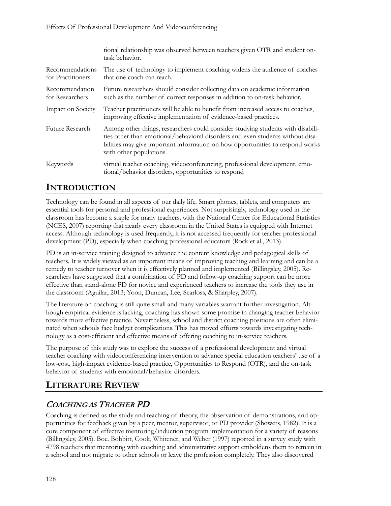|                                      | tional relationship was observed between teachers given OTR and student on-<br>task behavior.                                                                                                                                                                                 |
|--------------------------------------|-------------------------------------------------------------------------------------------------------------------------------------------------------------------------------------------------------------------------------------------------------------------------------|
| Recommendations<br>for Practitioners | The use of technology to implement coaching widens the audience of coaches<br>that one coach can reach.                                                                                                                                                                       |
| Recommendation<br>for Researchers    | Future researchers should consider collecting data on academic information<br>such as the number of correct responses in addition to on-task behavior.                                                                                                                        |
| Impact on Society                    | Teacher practitioners will be able to benefit from increased access to coaches,<br>improving effective implementation of evidence-based practices.                                                                                                                            |
| Future Research                      | Among other things, researchers could consider studying students with disabili-<br>ties other than emotional/behavioral disorders and even students without disa-<br>bilities may give important information on how opportunities to respond works<br>with other populations. |
| Keywords                             | virtual teacher coaching, videoconferencing, professional development, emo-<br>tional/behavior disorders, opportunities to respond                                                                                                                                            |

# **INTRODUCTION**

Technology can be found in all aspects of our daily life. Smart phones, tablets, and computers are essential tools for personal and professional experiences. Not surprisingly, technology used in the classroom has become a staple for many teachers, with the National Center for Educational Statistics (NCES, 2007) reporting that nearly every classroom in the United States is equipped with Internet access. Although technology is used frequently, it is not accessed frequently for teacher professional development (PD), especially when coaching professional educators (Rock et al., 2013).

PD is an in-service training designed to advance the content knowledge and pedagogical skills of teachers. It is widely viewed as an important means of improving teaching and learning and can be a remedy to teacher turnover when it is effectively planned and implemented (Billingsley, 2005). Researchers have suggested that a combination of PD and follow-up coaching support can be more effective than stand-alone PD for novice and experienced teachers to increase the tools they use in the classroom (Aguilar, 2013; Yoon, Duncan, Lee, Scarloss, & Sharpley, 2007).

The literature on coaching is still quite small and many variables warrant further investigation. Although empirical evidence is lacking, coaching has shown some promise in changing teacher behavior towards more effective practice. Nevertheless, school and district coaching positions are often eliminated when schools face budget complications. This has moved efforts towards investigating technology as a cost-efficient and effective means of offering coaching to in-service teachers.

The purpose of this study was to explore the success of a professional development and virtual teacher coaching with videoconferencing intervention to advance special education teachers' use of a low-cost, high-impact evidence-based practice, Opportunities to Respond (OTR), and the on-task behavior of students with emotional/behavior disorders.

# **LITERATURE REVIEW**

# COACHING AS TEACHER PD

Coaching is defined as the study and teaching of theory, the observation of demonstrations, and opportunities for feedback given by a peer, mentor, supervisor, or PD provider (Showers, 1982). It is a core component of effective mentoring/induction program implementation for a variety of reasons (Billingsley, 2005). Boe. Bobbitt, Cook, Whitener, and Weber (1997) reported in a survey study with 4798 teachers that mentoring with coaching and administrative support emboldens them to remain in a school and not migrate to other schools or leave the profession completely. They also discovered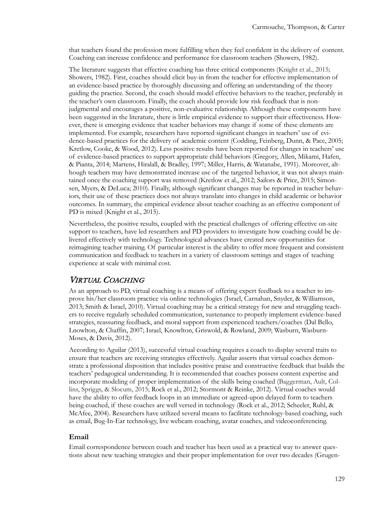that teachers found the profession more fulfilling when they feel confident in the delivery of content. Coaching can increase confidence and performance for classroom teachers (Showers, 1982).

The literature suggests that effective coaching has three critical components (Knight et al., 2015; Showers, 1982). First, coaches should elicit buy-in from the teacher for effective implementation of an evidence-based practice by thoroughly discussing and offering an understanding of the theory guiding the practice. Second, the coach should model effective behaviors to the teacher, preferably in the teacher's own classroom. Finally, the coach should provide low risk feedback that is nonjudgmental and encourages a positive, non-evaluative relationship. Although these components have been suggested in the literature, there is little empirical evidence to support their effectiveness. However, there is emerging evidence that teacher behaviors may change if some of these elements are implemented. For example, researchers have reported significant changes in teachers' use of evidence-based practices for the delivery of academic content (Codding, Feinberg, Dunn, & Pace, 2005; Kretlow, Cooke, & Wood, 2012). Less positive results have been reported for changes in teachers' use of evidence-based practices to support appropriate child behaviors (Gregory, Allen, Mikami, Hafen, & Pianta, 2014; Martens, Hiralall, & Bradley, 1997; Miller, Harris, & Watanabe, 1991). Moreover, although teachers may have demonstrated increase use of the targeted behavior, it was not always maintained once the coaching support was removed (Kretlow et al., 2012; Sailors & Price, 2015; Simonsen, Myers, & DeLuca; 2010). Finally, although significant changes may be reported in teacher behaviors, their use of these practices does not always translate into changes in child academic or behavior outcomes. In summary, the empirical evidence about teacher coaching as an effective component of PD is mixed (Knight et al., 2015).

Nevertheless, the positive results, coupled with the practical challenges of offering effective on-site support to teachers, have led researchers and PD providers to investigate how coaching could be delivered effectively with technology. Technological advances have created new opportunities for reimagining teacher training. Of particular interest is the ability to offer more frequent and consistent communication and feedback to teachers in a variety of classroom settings and stages of teaching experience at scale with minimal cost.

### VIRTUAL COACHING

As an approach to PD, virtual coaching is a means of offering expert feedback to a teacher to improve his/her classroom practice via online technologies (Israel, Carnahan, Snyder, & Williamson, 2013; Smith & Israel, 2010). Virtual coaching may be a critical strategy for new and struggling teachers to receive regularly scheduled communication, sustenance to properly implement evidence-based strategies, reassuring feedback, and moral support from experienced teachers/coaches (Dal Bello, Lnowlton, & Chaffin, 2007; Israel, Knowlton, Griswold, & Rowland, 2009; Wasburn, Wasburn-Moses, & Davis, 2012).

According to Aguilar (2013), successful virtual coaching requires a coach to display several traits to ensure that teachers are receiving strategies effectively. Aguilar asserts that virtual coaches demonstrate a professional disposition that includes positive praise and constructive feedback that builds the teachers' pedagogical understanding. It is recommended that coaches possess content expertise and incorporate modeling of proper implementation of the skills being coached (Baggerman, Ault, Collins, Spriggs, & Slocum, 2015; Rock et al., 2012; Stormont & Reinke, 2012). Virtual coaches would have the ability to offer feedback loops in an immediate or agreed-upon delayed form to teachers being coached, if these coaches are well versed in technology (Rock et al., 2012; Scheeler, Ruhl, & McAfee, 2004). Researchers have utilized several means to facilitate technology-based coaching, such as email, Bug-In-Ear technology, live webcam coaching, avatar coaches, and videoconferencing.

#### **Email**

Email correspondence between coach and teacher has been used as a practical way to answer questions about new teaching strategies and their proper implementation for over two decades (Grugen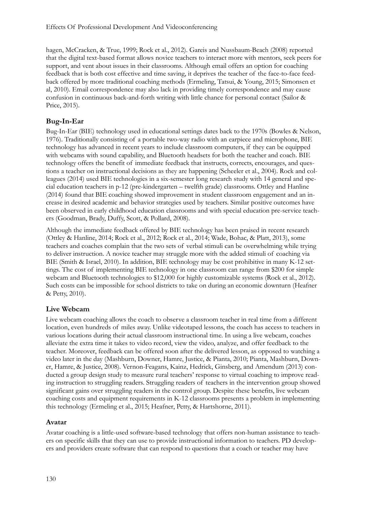hagen, McCracken, & True, 1999; Rock et al., 2012). Gareis and Nussbaum-Beach (2008) reported that the digital text-based format allows novice teachers to interact more with mentors, seek peers for support, and vent about issues in their classrooms. Although email offers an option for coaching feedback that is both cost effective and time saving, it deprives the teacher of the face-to-face feedback offered by more traditional coaching methods (Ermeling, Tatsui, & Young, 2015; Simonsen et al, 2010). Email correspondence may also lack in providing timely correspondence and may cause confusion in continuous back-and-forth writing with little chance for personal contact (Sailor & Price, 2015).

#### **Bug-In-Ear**

Bug-In-Ear (BIE) technology used in educational settings dates back to the 1970s (Bowles & Nelson, 1976). Traditionally consisting of a portable two-way radio with an earpiece and microphone, BIE technology has advanced in recent years to include classroom computers, if they can be equipped with webcams with sound capability, and Bluetooth headsets for both the teacher and coach. BIE technology offers the benefit of immediate feedback that instructs, corrects, encourages, and questions a teacher on instructional decisions as they are happening (Scheeler et al., 2004). Rock and colleagues (2014) used BIE technologies in a six-semester long research study with 14 general and special education teachers in p-12 (pre-kindergarten – twelfth grade) classrooms. Ottley and Hanline (2014) found that BIE coaching showed improvement in student classroom engagement and an increase in desired academic and behavior strategies used by teachers. Similar positive outcomes have been observed in early childhood education classrooms and with special education pre-service teachers (Goodman, Brady, Duffy, Scott, & Pollard, 2008).

Although the immediate feedback offered by BIE technology has been praised in recent research (Ottley & Hanline, 2014; Rock et al., 2012; Rock et al., 2014; Wade, Bohac, & Platt, 2013), some teachers and coaches complain that the two sets of verbal stimuli can be overwhelming while trying to deliver instruction. A novice teacher may struggle more with the added stimuli of coaching via BIE (Smith & Israel, 2010). In addition, BIE technology may be cost prohibitive in many K-12 settings. The cost of implementing BIE technology in one classroom can range from \$200 for simple webcam and Bluetooth technologies to \$12,000 for highly customizable systems (Rock et al., 2012). Such costs can be impossible for school districts to take on during an economic downturn (Heafner & Petty, 2010).

#### **Live Webcam**

Live webcam coaching allows the coach to observe a classroom teacher in real time from a different location, even hundreds of miles away. Unlike videotaped lessons, the coach has access to teachers in various locations during their actual classroom instructional time. In using a live webcam, coaches alleviate the extra time it takes to video record, view the video, analyze, and offer feedback to the teacher. Moreover, feedback can be offered soon after the delivered lesson, as opposed to watching a video later in the day (Mashburn, Downer, Hamre, Justice, & Pianta, 2010; Pianta, Mashburn, Downer, Hamre, & Justice, 2008). Vernon-Feagans, Kainz, Hedrick, Ginsberg, and Amendum (2013) conducted a group design study to measure rural teachers' response to virtual coaching to improve reading instruction to struggling readers. Struggling readers of teachers in the intervention group showed significant gains over struggling readers in the control group. Despite these benefits, live webcam coaching costs and equipment requirements in K-12 classrooms presents a problem in implementing this technology (Ermeling et al., 2015; Heafner, Petty, & Hartshorne, 2011).

#### **Avatar**

Avatar coaching is a little-used software-based technology that offers non-human assistance to teachers on specific skills that they can use to provide instructional information to teachers. PD developers and providers create software that can respond to questions that a coach or teacher may have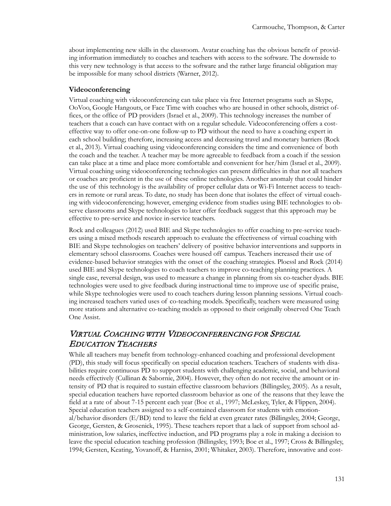about implementing new skills in the classroom. Avatar coaching has the obvious benefit of providing information immediately to coaches and teachers with access to the software. The downside to this very new technology is that access to the software and the rather large financial obligation may be impossible for many school districts (Warner, 2012).

#### **Videoconferencing**

Virtual coaching with videoconferencing can take place via free Internet programs such as Skype, OoVoo, Google Hangouts, or Face Time with coaches who are housed in other schools, district offices, or the office of PD providers (Israel et al., 2009). This technology increases the number of teachers that a coach can have contact with on a regular schedule. Videoconferencing offers a costeffective way to offer one-on-one follow-up to PD without the need to have a coaching expert in each school building; therefore, increasing access and decreasing travel and monetary barriers (Rock et al., 2013). Virtual coaching using videoconferencing considers the time and convenience of both the coach and the teacher. A teacher may be more agreeable to feedback from a coach if the session can take place at a time and place more comfortable and convenient for her/him (Israel et al., 2009). Virtual coaching using videoconferencing technologies can present difficulties in that not all teachers or coaches are proficient in the use of these online technologies. Another anomaly that could hinder the use of this technology is the availability of proper cellular data or Wi-Fi Internet access to teachers in remote or rural areas. To date, no study has been done that isolates the effect of virtual coaching with videoconferencing; however, emerging evidence from studies using BIE technologies to observe classrooms and Skype technologies to later offer feedback suggest that this approach may be effective to pre-service and novice in-service teachers.

Rock and colleagues (2012) used BIE and Skype technologies to offer coaching to pre-service teachers using a mixed methods research approach to evaluate the effectiveness of virtual coaching with BIE and Skype technologies on teachers' delivery of positive behavior interventions and supports in elementary school classrooms. Coaches were housed off campus. Teachers increased their use of evidence-based behavior strategies with the onset of the coaching strategies. Ploessl and Rock (2014) used BIE and Skype technologies to coach teachers to improve co-teaching planning practices. A single case, reversal design, was used to measure a change in planning from six co-teacher dyads. BIE technologies were used to give feedback during instructional time to improve use of specific praise, while Skype technologies were used to coach teachers during lesson planning sessions. Virtual coaching increased teachers varied uses of co-teaching models. Specifically, teachers were measured using more stations and alternative co-teaching models as opposed to their originally observed One Teach One Assist.

## VIRTUAL COACHING WITH VIDEOCONFERENCING FOR SPECIAL EDUCATION TEACHERS

While all teachers may benefit from technology-enhanced coaching and professional development (PD), this study will focus specifically on special education teachers. Teachers of students with disabilities require continuous PD to support students with challenging academic, social, and behavioral needs effectively (Cullinan & Sabornie, 2004). However, they often do not receive the amount or intensity of PD that is required to sustain effective classroom behaviors (Billingsley, 2005). As a result, special education teachers have reported classroom behavior as one of the reasons that they leave the field at a rate of about 7-15 percent each year (Boe et al., 1997; McLeskey, Tyler, & Flippen, 2004). Special education teachers assigned to a self-contained classroom for students with emotional/behavior disorders (E/BD) tend to leave the field at even greater rates (Billingsley, 2004; George, George, Gersten, & Grosenick, 1995). These teachers report that a lack of support from school administration, low salaries, ineffective induction, and PD programs play a role in making a decision to leave the special education teaching profession (Billingsley, 1993; Boe et al., 1997; Cross & Billingsley, 1994; Gersten, Keating, Yovanoff, & Harniss, 2001; Whitaker, 2003). Therefore, innovative and cost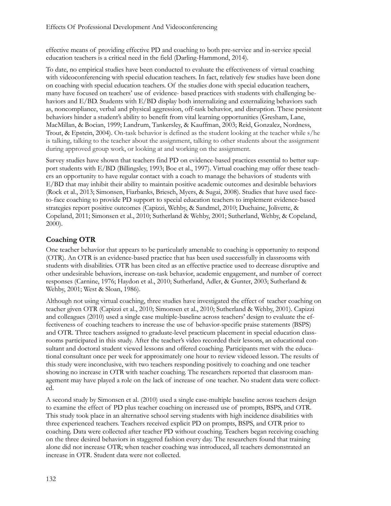effective means of providing effective PD and coaching to both pre-service and in-service special education teachers is a critical need in the field (Darling-Hammond, 2014).

To date, no empirical studies have been conducted to evaluate the effectiveness of virtual coaching with videoconferencing with special education teachers. In fact, relatively few studies have been done on coaching with special education teachers. Of the studies done with special education teachers, many have focused on teachers' use of evidence- based practices with students with challenging behaviors and E/BD. Students with E/BD display both internalizing and externalizing behaviors such as, noncompliance, verbal and physical aggression, off-task behavior, and disruption. These persistent behaviors hinder a student's ability to benefit from vital learning opportunities (Gresham, Lane, MacMillan, & Bocian, 1999; Landrum, Tankersley, & Kauffman, 2003; Reid, Gonzalez, Nordness, Trout, & Epstein, 2004). On-task behavior is defined as the student looking at the teacher while s/he is talking, talking to the teacher about the assignment, talking to other students about the assignment during approved group work, or looking at and working on the assignment.

Survey studies have shown that teachers find PD on evidence-based practices essential to better support students with E/BD (Billingsley, 1993; Boe et al., 1997). Virtual coaching may offer these teachers an opportunity to have regular contact with a coach to manage the behaviors of students with E/BD that may inhibit their ability to maintain positive academic outcomes and desirable behaviors (Rock et al., 2013; Simonsen, Fiarbanks, Briesch, Myers, & Sugai, 2008). Studies that have used faceto-face coaching to provide PD support to special education teachers to implement evidence-based strategies report positive outcomes (Capizzi, Wehby, & Sandmel, 2010; Duchaine, Jolivette, & Copeland, 2011; Simonsen et al., 2010; Sutherland & Wehby, 2001; Sutherland, Wehby, & Copeland, 2000).

#### **Coaching OTR**

One teacher behavior that appears to be particularly amenable to coaching is opportunity to respond (OTR). An OTR is an evidence-based practice that has been used successfully in classrooms with students with disabilities. OTR has been cited as an effective practice used to decrease disruptive and other undesirable behaviors, increase on-task behavior, academic engagement, and number of correct responses (Carnine, 1976; Haydon et al., 2010; Sutherland, Adler, & Gunter, 2003; Sutherland & Wehby, 2001; West & Sloan, 1986).

Although not using virtual coaching, three studies have investigated the effect of teacher coaching on teacher given OTR (Capizzi et al., 2010; Simonsen et al., 2010; Sutherland & Wehby, 2001). Capizzi and colleagues (2010) used a single case multiple-baseline across teachers' design to evaluate the effectiveness of coaching teachers to increase the use of behavior-specific praise statements (BSPS) and OTR. Three teachers assigned to graduate-level practicum placement in special education classrooms participated in this study. After the teacher's video recorded their lessons, an educational consultant and doctoral student viewed lessons and offered coaching. Participants met with the educational consultant once per week for approximately one hour to review videoed lesson. The results of this study were inconclusive, with two teachers responding positively to coaching and one teacher showing no increase in OTR with teacher coaching. The researchers reported that classroom management may have played a role on the lack of increase of one teacher. No student data were collected.

A second study by Simonsen et al. (2010) used a single case-multiple baseline across teachers design to examine the effect of PD plus teacher coaching on increased use of prompts, BSPS, and OTR. This study took place in an alternative school serving students with high incidence disabilities with three experienced teachers. Teachers received explicit PD on prompts, BSPS, and OTR prior to coaching. Data were collected after teacher PD without coaching. Teachers began receiving coaching on the three desired behaviors in staggered fashion every day. The researchers found that training alone did not increase OTR; when teacher coaching was introduced, all teachers demonstrated an increase in OTR. Student data were not collected.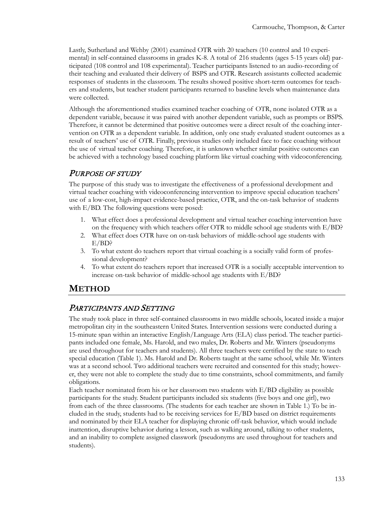Lastly, Sutherland and Wehby (2001) examined OTR with 20 teachers (10 control and 10 experimental) in self-contained classrooms in grades K-8. A total of 216 students (ages 5-15 years old) participated (108 control and 108 experimental). Teacher participants listened to an audio-recording of their teaching and evaluated their delivery of BSPS and OTR. Research assistants collected academic responses of students in the classroom. The results showed positive short-term outcomes for teachers and students, but teacher student participants returned to baseline levels when maintenance data were collected.

Although the aforementioned studies examined teacher coaching of OTR, none isolated OTR as a dependent variable, because it was paired with another dependent variable, such as prompts or BSPS. Therefore, it cannot be determined that positive outcomes were a direct result of the coaching intervention on OTR as a dependent variable. In addition, only one study evaluated student outcomes as a result of teachers' use of OTR. Finally, previous studies only included face to face coaching without the use of virtual teacher coaching. Therefore, it is unknown whether similar positive outcomes can be achieved with a technology based coaching platform like virtual coaching with videoconferencing.

#### PURPOSE OF STUDY

The purpose of this study was to investigate the effectiveness of a professional development and virtual teacher coaching with videoconferencing intervention to improve special education teachers' use of a low-cost, high-impact evidence-based practice, OTR, and the on-task behavior of students with E/BD. The following questions were posed:

- 1. What effect does a professional development and virtual teacher coaching intervention have on the frequency with which teachers offer OTR to middle school age students with  $E/BD$ ?
- 2. What effect does OTR have on on-task behaviors of middle-school age students with E/BD?
- 3. To what extent do teachers report that virtual coaching is a socially valid form of professional development?
- 4. To what extent do teachers report that increased OTR is a socially acceptable intervention to increase on-task behavior of middle-school age students with E/BD?

### **METHOD**

### PARTICIPANTS AND SETTING

The study took place in three self-contained classrooms in two middle schools, located inside a major metropolitan city in the southeastern United States. Intervention sessions were conducted during a 15-minute span within an interactive English/Language Arts (ELA) class period. The teacher participants included one female, Ms. Harold, and two males, Dr. Roberts and Mr. Winters (pseudonyms are used throughout for teachers and students). All three teachers were certified by the state to teach special education (Table 1). Ms. Harold and Dr. Roberts taught at the same school, while Mr. Winters was at a second school. Two additional teachers were recruited and consented for this study; however, they were not able to complete the study due to time constraints, school commitments, and family obligations.

Each teacher nominated from his or her classroom two students with E/BD eligibility as possible participants for the study. Student participants included six students (five boys and one girl), two from each of the three classrooms. (The students for each teacher are shown in Table 1.) To be included in the study, students had to be receiving services for E/BD based on district requirements and nominated by their ELA teacher for displaying chronic off-task behavior, which would include inattention, disruptive behavior during a lesson, such as walking around, talking to other students, and an inability to complete assigned classwork (pseudonyms are used throughout for teachers and students).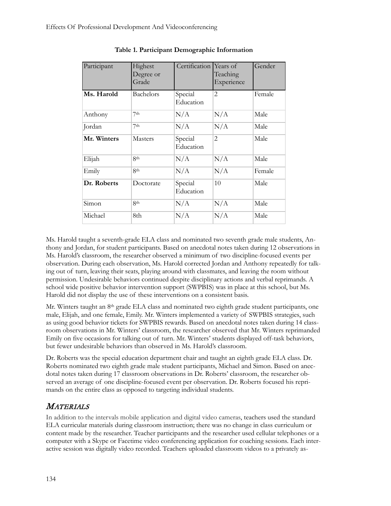| Participant | Highest<br>Degree or<br>Grade | Certification        | Years of<br>Teaching<br>Experience | Gender |
|-------------|-------------------------------|----------------------|------------------------------------|--------|
| Ms. Harold  | Bachelors                     | Special<br>Education | $\overline{2}$                     | Female |
| Anthony     | 7 <sub>th</sub>               | N/A                  | N/A                                | Male   |
| Jordan      | 7 <sup>th</sup>               | N/A                  | N/A                                | Male   |
| Mr. Winters | <b>Masters</b>                | Special<br>Education | $\overline{2}$                     | Male   |
| Elijah      | 8th                           | N/A                  | N/A                                | Male   |
| Emily       | <b>Rth</b>                    | N/A                  | N/A                                | Female |
| Dr. Roberts | Doctorate                     | Special<br>Education | 10                                 | Male   |
| Simon       | 8th                           | N/A                  | N/A                                | Male   |
| Michael     | 8th                           | N/A                  | N/A                                | Male   |

**Table 1. Participant Demographic Information**

Ms. Harold taught a seventh-grade ELA class and nominated two seventh grade male students, Anthony and Jordan, for student participants. Based on anecdotal notes taken during 12 observations in Ms. Harold's classroom, the researcher observed a minimum of two discipline-focused events per observation. During each observation, Ms. Harold corrected Jordan and Anthony repeatedly for talking out of turn, leaving their seats, playing around with classmates, and leaving the room without permission. Undesirable behaviors continued despite disciplinary actions and verbal reprimands. A school wide positive behavior intervention support (SWPBIS) was in place at this school, but Ms. Harold did not display the use of these interventions on a consistent basis.

Mr. Winters taught an 8th grade ELA class and nominated two eighth grade student participants, one male, Elijah, and one female, Emily. Mr. Winters implemented a variety of SWPBIS strategies, such as using good behavior tickets for SWPBIS rewards. Based on anecdotal notes taken during 14 classroom observations in Mr. Winters' classroom, the researcher observed that Mr. Winters reprimanded Emily on five occasions for talking out of turn. Mr. Winters' students displayed off-task behaviors, but fewer undesirable behaviors than observed in Ms. Harold's classroom.

Dr. Roberts was the special education department chair and taught an eighth grade ELA class. Dr. Roberts nominated two eighth grade male student participants, Michael and Simon. Based on anecdotal notes taken during 17 classroom observations in Dr. Roberts' classroom, the researcher observed an average of one discipline-focused event per observation. Dr. Roberts focused his reprimands on the entire class as opposed to targeting individual students.

## **MATERIALS**

In addition to the intervals mobile application and digital video cameras, teachers used the standard ELA curricular materials during classroom instruction; there was no change in class curriculum or content made by the researcher. Teacher participants and the researcher used cellular telephones or a computer with a Skype or Facetime video conferencing application for coaching sessions. Each interactive session was digitally video recorded. Teachers uploaded classroom videos to a privately as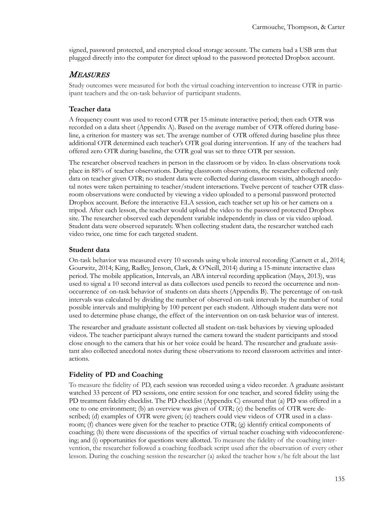signed, password protected, and encrypted cloud storage account. The camera had a USB arm that plugged directly into the computer for direct upload to the password protected Dropbox account.

#### **MEASURES**

Study outcomes were measured for both the virtual coaching intervention to increase OTR in participant teachers and the on-task behavior of participant students.

#### **Teacher data**

A frequency count was used to record OTR per 15-minute interactive period; then each OTR was recorded on a data sheet (Appendix A). Based on the average number of OTR offered during baseline, a criterion for mastery was set. The average number of OTR offered during baseline plus three additional OTR determined each teacher's OTR goal during intervention. If any of the teachers had offered zero OTR during baseline, the OTR goal was set to three OTR per session.

The researcher observed teachers in person in the classroom or by video. In-class observations took place in 88% of teacher observations. During classroom observations, the researcher collected only data on teacher given OTR; no student data were collected during classroom visits, although anecdotal notes were taken pertaining to teacher/student interactions. Twelve percent of teacher OTR classroom observations were conducted by viewing a video uploaded to a personal password protected Dropbox account. Before the interactive ELA session, each teacher set up his or her camera on a tripod. After each lesson, the teacher would upload the video to the password protected Dropbox site. The researcher observed each dependent variable independently in class or via video upload. Student data were observed separately. When collecting student data, the researcher watched each video twice, one time for each targeted student.

#### **Student data**

On-task behavior was measured every 10 seconds using whole interval recording (Carnett et al., 2014; Gourwitz, 2014; King, Radley, Jenson, Clark, & O'Neill, 2014) during a 15-minute interactive class period. The mobile application, Intervals, an ABA interval recording application (Mays, 2013), was used to signal a 10 second interval as data collectors used pencils to record the occurrence and nonoccurrence of on-task behavior of students on data sheets (Appendix B). The percentage of on-task intervals was calculated by dividing the number of observed on-task intervals by the number of total possible intervals and multiplying by 100 percent per each student. Although student data were not used to determine phase change, the effect of the intervention on on-task behavior was of interest.

The researcher and graduate assistant collected all student on-task behaviors by viewing uploaded videos. The teacher participant always turned the camera toward the student participants and stood close enough to the camera that his or her voice could be heard. The researcher and graduate assistant also collected anecdotal notes during these observations to record classroom activities and interactions.

#### **Fidelity of PD and Coaching**

To measure the fidelity of PD, each session was recorded using a video recorder. A graduate assistant watched 33 percent of PD sessions, one entire session for one teacher, and scored fidelity using the PD treatment fidelity checklist. The PD checklist (Appendix C) ensured that (a) PD was offered in a one to one environment; (b) an overview was given of OTR; (c) the benefits of OTR were described; (d) examples of OTR were given; (e) teachers could view videos of OTR used in a classroom; (f) chances were given for the teacher to practice OTR; (g) identify critical components of coaching; (h) there were discussions of the specifics of virtual teacher coaching with videoconferencing; and (i) opportunities for questions were allotted. To measure the fidelity of the coaching intervention, the researcher followed a coaching feedback script used after the observation of every other lesson. During the coaching session the researcher (a) asked the teacher how s/he felt about the last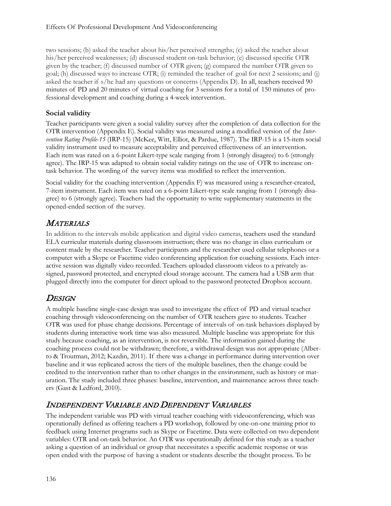two sessions; (b) asked the teacher about his/her perceived strengths; (c) asked the teacher about his/her perceived weaknesses; (d) discussed student on-task behavior; (e) discussed specific OTR given by the teacher; (f) discussed number of OTR given; (g) compared the number OTR given to goal; (h) discussed ways to increase OTR; (i) reminded the teacher of goal for next 2 sessions; and (j) asked the teacher if s/he had any questions or concerns (Appendix D). In all, teachers received 90 minutes of PD and 20 minutes of virtual coaching for 3 sessions for a total of 150 minutes of professional development and coaching during a 4-week intervention.

### **Social validity**

Teacher participants were given a social validity survey after the completion of data collection for the OTR intervention (Appendix E). Social validity was measured using a modified version of the *Intervention Rating Profile-15* (IRP-15) (McKee, Witt, Elliot, & Pardue, 1987). The IRP-15 is a 15-item social validity instrument used to measure acceptability and perceived effectiveness of an intervention. Each item was rated on a 6-point Likert-type scale ranging from 1 (strongly disagree) to 6 (strongly agree). The IRP-15 was adapted to obtain social validity ratings on the use of OTR to increase ontask behavior. The wording of the survey items was modified to reflect the intervention.

Social validity for the coaching intervention (Appendix F) was measured using a researcher-created, 7-item instrument. Each item was rated on a 6-point Likert-type scale ranging from 1 (strongly disagree) to 6 (strongly agree). Teachers had the opportunity to write supplementary statements in the opened-ended section of the survey.

# **MATERIALS**

In addition to the intervals mobile application and digital video cameras, teachers used the standard ELA curricular materials during classroom instruction; there was no change in class curriculum or content made by the researcher. Teacher participants and the researcher used cellular telephones or a computer with a Skype or Facetime video conferencing application for coaching sessions. Each interactive session was digitally video recorded. Teachers uploaded classroom videos to a privately assigned, password protected, and encrypted cloud storage account. The camera had a USB arm that plugged directly into the computer for direct upload to the password protected Dropbox account.

# **DESIGN**

A multiple baseline single-case design was used to investigate the effect of PD and virtual teacher coaching through videoconferencing on the number of OTR teachers gave to students. Teacher OTR was used for phase change decisions. Percentage of intervals of on-task behaviors displayed by students during interactive work time was also measured. Multiple baseline was appropriate for this study because coaching, as an intervention, is not reversible. The information gained during the coaching process could not be withdrawn; therefore, a withdrawal design was not appropriate (Alberto & Troutman, 2012; Kazdin, 2011). If there was a change in performance during intervention over baseline and it was replicated across the tiers of the multiple baselines, then the change could be credited to the intervention rather than to other changes in the environment, such as history or maturation. The study included three phases: baseline, intervention, and maintenance across three teachers (Gast & Ledford, 2010).

# INDEPENDENT VARIABLE AND DEPENDENT VARIABLES

The independent variable was PD with virtual teacher coaching with videoconferencing, which was operationally defined as offering teachers a PD workshop, followed by one-on-one training prior to feedback using Internet programs such as Skype or Facetime. Data were collected on two dependent variables: OTR and on-task behavior. An OTR was operationally defined for this study as a teacher asking a question of an individual or group that necessitates a specific academic response or was open ended with the purpose of having a student or students describe the thought process. To be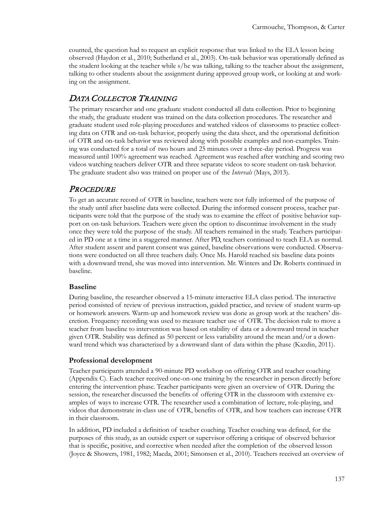counted, the question had to request an explicit response that was linked to the ELA lesson being observed (Haydon et al., 2010; Sutherland et al., 2003). On-task behavior was operationally defined as the student looking at the teacher while s/he was talking, talking to the teacher about the assignment, talking to other students about the assignment during approved group work, or looking at and working on the assignment.

## DATA COLLECTOR TRAINING

The primary researcher and one graduate student conducted all data collection. Prior to beginning the study, the graduate student was trained on the data collection procedures. The researcher and graduate student used role-playing procedures and watched videos of classrooms to practice collecting data on OTR and on-task behavior, properly using the data sheet, and the operational definition of OTR and on-task behavior was reviewed along with possible examples and non-examples. Training was conducted for a total of two hours and 25 minutes over a three-day period. Progress was measured until 100% agreement was reached. Agreement was reached after watching and scoring two videos watching teachers deliver OTR and three separate videos to score student on-task behavior. The graduate student also was trained on proper use of the *Intervals* (Mays, 2013)*.*

#### **PROCEDURE**

To get an accurate record of OTR in baseline, teachers were not fully informed of the purpose of the study until after baseline data were collected. During the informed consent process, teacher participants were told that the purpose of the study was to examine the effect of positive behavior support on on-task behaviors. Teachers were given the option to discontinue involvement in the study once they were told the purpose of the study. All teachers remained in the study. Teachers participated in PD one at a time in a staggered manner. After PD, teachers continued to teach ELA as normal. After student assent and parent consent was gained, baseline observations were conducted. Observations were conducted on all three teachers daily. Once Ms. Harold reached six baseline data points with a downward trend, she was moved into intervention. Mr. Winters and Dr. Roberts continued in baseline.

#### **Baseline**

During baseline, the researcher observed a 15-minute interactive ELA class period. The interactive period consisted of review of previous instruction, guided practice, and review of student warm-up or homework answers. Warm-up and homework review was done as group work at the teachers' discretion. Frequency recording was used to measure teacher use of OTR. The decision rule to move a teacher from baseline to intervention was based on stability of data or a downward trend in teacher given OTR. Stability was defined as 50 percent or less variability around the mean and/or a downward trend which was characterized by a downward slant of data within the phase (Kazdin, 2011).

#### **Professional development**

Teacher participants attended a 90-minute PD workshop on offering OTR and teacher coaching (Appendix C). Each teacher received one-on-one training by the researcher in person directly before entering the intervention phase. Teacher participants were given an overview of OTR. During the session, the researcher discussed the benefits of offering OTR in the classroom with extensive examples of ways to increase OTR. The researcher used a combination of lecture, role-playing, and videos that demonstrate in-class use of OTR, benefits of OTR, and how teachers can increase OTR in their classroom.

In addition, PD included a definition of teacher coaching. Teacher coaching was defined, for the purposes of this study, as an outside expert or supervisor offering a critique of observed behavior that is specific, positive, and corrective when needed after the completion of the observed lesson (Joyce & Showers, 1981, 1982; Maeda, 2001; Simonsen et al., 2010). Teachers received an overview of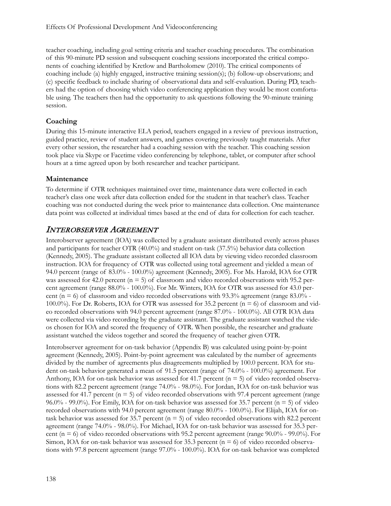teacher coaching, including goal setting criteria and teacher coaching procedures. The combination of this 90-minute PD session and subsequent coaching sessions incorporated the critical components of coaching identified by Kretlow and Bartholomew (2010). The critical components of coaching include (a) highly engaged, instructive training session(s); (b) follow-up observations; and (c) specific feedback to include sharing of observational data and self-evaluation. During PD, teachers had the option of choosing which video conferencing application they would be most comfortable using. The teachers then had the opportunity to ask questions following the 90-minute training session.

#### **Coaching**

During this 15-minute interactive ELA period, teachers engaged in a review of previous instruction, guided practice, review of student answers, and games covering previously taught materials. After every other session, the researcher had a coaching session with the teacher. This coaching session took place via Skype or Facetime video conferencing by telephone, tablet, or computer after school hours at a time agreed upon by both researcher and teacher participant.

#### **Maintenance**

To determine if OTR techniques maintained over time, maintenance data were collected in each teacher's class one week after data collection ended for the student in that teacher's class. Teacher coaching was not conducted during the week prior to maintenance data collection. One maintenance data point was collected at individual times based at the end of data for collection for each teacher.

### INTEROBSERVER AGREEMENT

Interobserver agreement (IOA) was collected by a graduate assistant distributed evenly across phases and participants for teacher OTR (40.0%) and student on-task (37.5%) behavior data collection (Kennedy, 2005). The graduate assistant collected all IOA data by viewing video recorded classroom instruction. IOA for frequency of OTR was collected using total agreement and yielded a mean of 94.0 percent (range of 83.0% - 100.0%) agreement (Kennedy, 2005). For Ms. Harold, IOA for OTR was assessed for 42.0 percent ( $n = 5$ ) of classroom and video recorded observations with 95.2 percent agreement (range 88.0% - 100.0%). For Mr. Winters, IOA for OTR was assessed for 43.0 percent ( $n = 6$ ) of classroom and video recorded observations with 93.3% agreement (range 83.0% -100.0%). For Dr. Roberts, IOA for OTR was assessed for 35.2 percent ( $n = 6$ ) of classroom and video recorded observations with 94.0 percent agreement (range 87.0% - 100.0%). All OTR IOA data were collected via video recording by the graduate assistant. The graduate assistant watched the videos chosen for IOA and scored the frequency of OTR. When possible, the researcher and graduate assistant watched the videos together and scored the frequency of teacher given OTR.

Interobserver agreement for on-task behavior (Appendix B) was calculated using point-by-point agreement (Kennedy, 2005). Point-by-point agreement was calculated by the number of agreements divided by the number of agreements plus disagreements multiplied by 100.0 percent. IOA for student on-task behavior generated a mean of 91.5 percent (range of 74.0% - 100.0%) agreement. For Anthony, IOA for on-task behavior was assessed for 41.7 percent ( $n = 5$ ) of video recorded observations with 82.2 percent agreement (range 74.0% - 98.0%). For Jordan, IOA for on-task behavior was assessed for 41.7 percent ( $n = 5$ ) of video recorded observations with 97.4 percent agreement (range 96.0% - 99.0%). For Emily, IOA for on-task behavior was assessed for 35.7 percent (n = 5) of video recorded observations with 94.0 percent agreement (range 80.0% - 100.0%). For Elijah, IOA for ontask behavior was assessed for 35.7 percent ( $n = 5$ ) of video recorded observations with 82.2 percent agreement (range 74.0% - 98.0%). For Michael, IOA for on-task behavior was assessed for 35.3 percent ( $n = 6$ ) of video recorded observations with 95.2 percent agreement (range 90.0% - 99.0%). For Simon, IOA for on-task behavior was assessed for 35.3 percent  $(n = 6)$  of video recorded observations with 97.8 percent agreement (range 97.0% - 100.0%). IOA for on-task behavior was completed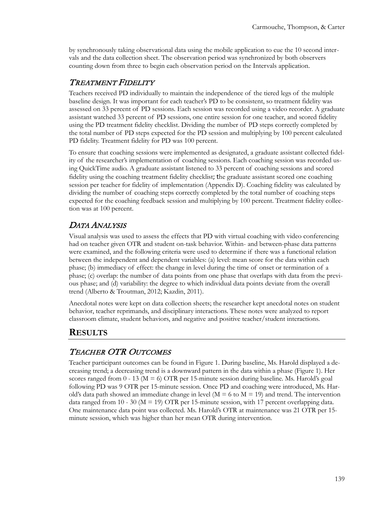by synchronously taking observational data using the mobile application to cue the 10 second intervals and the data collection sheet. The observation period was synchronized by both observers counting down from three to begin each observation period on the Intervals application.

## TREATMENT FIDELITY

Teachers received PD individually to maintain the independence of the tiered legs of the multiple baseline design. It was important for each teacher's PD to be consistent, so treatment fidelity was assessed on 33 percent of PD sessions. Each session was recorded using a video recorder. A graduate assistant watched 33 percent of PD sessions, one entire session for one teacher, and scored fidelity using the PD treatment fidelity checklist. Dividing the number of PD steps correctly completed by the total number of PD steps expected for the PD session and multiplying by 100 percent calculated PD fidelity. Treatment fidelity for PD was 100 percent.

To ensure that coaching sessions were implemented as designated, a graduate assistant collected fidelity of the researcher's implementation of coaching sessions. Each coaching session was recorded using QuickTime audio. A graduate assistant listened to 33 percent of coaching sessions and scored fidelity using the coaching treatment fidelity checklist; the graduate assistant scored one coaching session per teacher for fidelity of implementation (Appendix D). Coaching fidelity was calculated by dividing the number of coaching steps correctly completed by the total number of coaching steps expected for the coaching feedback session and multiplying by 100 percent. Treatment fidelity collection was at 100 percent.

# DATA ANALYSIS

Visual analysis was used to assess the effects that PD with virtual coaching with video conferencing had on teacher given OTR and student on-task behavior. Within- and between-phase data patterns were examined, and the following criteria were used to determine if there was a functional relation between the independent and dependent variables: (a) level: mean score for the data within each phase; (b) immediacy of effect: the change in level during the time of onset or termination of a phase; (c) overlap: the number of data points from one phase that overlaps with data from the previous phase; and (d) variability: the degree to which individual data points deviate from the overall trend (Alberto & Troutman, 2012; Kazdin, 2011).

Anecdotal notes were kept on data collection sheets; the researcher kept anecdotal notes on student behavior, teacher reprimands, and disciplinary interactions. These notes were analyzed to report classroom climate, student behaviors, and negative and positive teacher/student interactions.

# **RESULTS**

# TEACHER OTR OUTCOMES

Teacher participant outcomes can be found in Figure 1. During baseline, Ms. Harold displayed a decreasing trend; a decreasing trend is a downward pattern in the data within a phase (Figure 1). Her scores ranged from  $0 - 13$  ( $M = 6$ ) OTR per 15-minute session during baseline. Ms. Harold's goal following PD was 9 OTR per 15-minute session. Once PD and coaching were introduced, Ms. Harold's data path showed an immediate change in level ( $M = 6$  to  $M = 19$ ) and trend. The intervention data ranged from 10 - 30 ( $M = 19$ ) OTR per 15-minute session, with 17 percent overlapping data. One maintenance data point was collected. Ms. Harold's OTR at maintenance was 21 OTR per 15 minute session, which was higher than her mean OTR during intervention.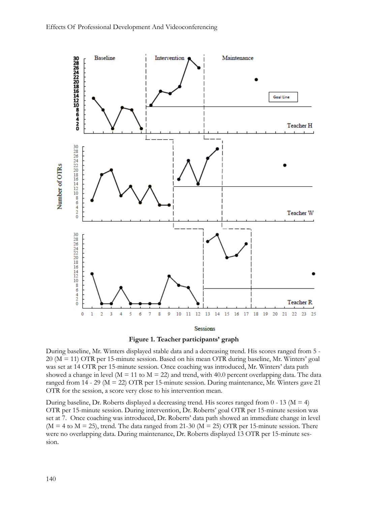



During baseline, Mr. Winters displayed stable data and a decreasing trend. His scores ranged from 5 - 20 (M = 11) OTR per 15-minute session. Based on his mean OTR during baseline, Mr. Winters' goal was set at 14 OTR per 15-minute session. Once coaching was introduced, Mr. Winters' data path showed a change in level ( $M = 11$  to  $M = 22$ ) and trend, with 40.0 percent overlapping data. The data ranged from  $14 - 29$  (M = 22) OTR per 15-minute session. During maintenance, Mr. Winters gave 21 OTR for the session, a score very close to his intervention mean.

During baseline, Dr. Roberts displayed a decreasing trend. His scores ranged from  $0 - 13$  (M = 4) OTR per 15-minute session. During intervention, Dr. Roberts' goal OTR per 15-minute session was set at 7. Once coaching was introduced, Dr. Roberts' data path showed an immediate change in level  $(M = 4$  to  $M = 25)$ , trend. The data ranged from 21-30 ( $M = 25$ ) OTR per 15-minute session. There were no overlapping data. During maintenance, Dr. Roberts displayed 13 OTR per 15-minute session.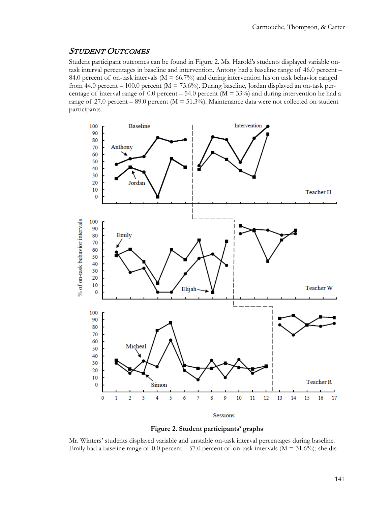#### STUDENT OUTCOMES

Student participant outcomes can be found in Figure 2. Ms. Harold's students displayed variable ontask interval percentages in baseline and intervention. Antony had a baseline range of 46.0 percent – 84.0 percent of on-task intervals ( $M = 66.7\%$ ) and during intervention his on task behavior ranged from 44.0 percent – 100.0 percent ( $M = 73.6\%$ ). During baseline, Jordan displayed an on-task percentage of interval range of 0.0 percent – 54.0 percent ( $M = 33\%$ ) and during intervention he had a range of 27.0 percent – 89.0 percent ( $M = 51.3\%$ ). Maintenance data were not collected on student participants.



![](_page_14_Figure_4.jpeg)

Mr. Winters' students displayed variable and unstable on-task interval percentages during baseline. Emily had a baseline range of 0.0 percent – 57.0 percent of on-task intervals  $(M = 31.6\%)$ ; she dis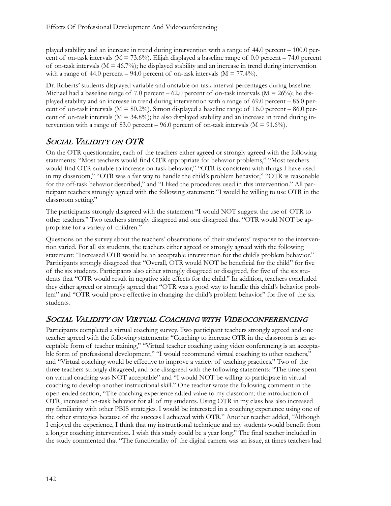played stability and an increase in trend during intervention with a range of 44.0 percent – 100.0 percent of on-task intervals ( $M = 73.6\%$ ). Elijah displayed a baseline range of 0.0 percent – 74.0 percent of on-task intervals ( $M = 46.7\%$ ); he displayed stability and an increase in trend during intervention with a range of 44.0 percent – 94.0 percent of on-task intervals ( $M = 77.4\%$ ).

Dr. Roberts' students displayed variable and unstable on-task interval percentages during baseline. Michael had a baseline range of 7.0 percent – 62.0 percent of on-task intervals ( $M = 26\%$ ); he displayed stability and an increase in trend during intervention with a range of 69.0 percent – 85.0 percent of on-task intervals ( $M = 80.2\%$ ). Simon displayed a baseline range of 16.0 percent – 86.0 percent of on-task intervals ( $M = 34.8\%$ ); he also displayed stability and an increase in trend during intervention with a range of 83.0 percent – 96.0 percent of on-task intervals ( $M = 91.6\%$ ).

# SOCIAL VALIDITY ON OTR

On the OTR questionnaire, each of the teachers either agreed or strongly agreed with the following statements: "Most teachers would find OTR appropriate for behavior problems," "Most teachers would find OTR suitable to increase on-task behavior," "OTR is consistent with things I have used in my classroom," "OTR was a fair way to handle the child's problem behavior," "OTR is reasonable for the off-task behavior described," and "I liked the procedures used in this intervention." All participant teachers strongly agreed with the following statement: "I would be willing to use OTR in the classroom setting."

The participants strongly disagreed with the statement "I would NOT suggest the use of OTR to other teachers." Two teachers strongly disagreed and one disagreed that "OTR would NOT be appropriate for a variety of children."

Questions on the survey about the teachers' observations of their students' response to the intervention varied. For all six students, the teachers either agreed or strongly agreed with the following statement: "Increased OTR would be an acceptable intervention for the child's problem behavior." Participants strongly disagreed that "Overall, OTR would NOT be beneficial for the child" for five of the six students. Participants also either strongly disagreed or disagreed, for five of the six students that "OTR would result in negative side effects for the child." In addition, teachers concluded they either agreed or strongly agreed that "OTR was a good way to handle this child's behavior problem" and "OTR would prove effective in changing the child's problem behavior" for five of the six students.

## SOCIAL VALIDITY ON VIRTUAL COACHING WITH VIDEOCONFERENCING

Participants completed a virtual coaching survey. Two participant teachers strongly agreed and one teacher agreed with the following statements: "Coaching to increase OTR in the classroom is an acceptable form of teacher training," "Virtual teacher coaching using video conferencing is an acceptable form of professional development," "I would recommend virtual coaching to other teachers," and "Virtual coaching would be effective to improve a variety of teaching practices." Two of the three teachers strongly disagreed, and one disagreed with the following statements: "The time spent on virtual coaching was NOT acceptable" and "I would NOT be willing to participate in virtual coaching to develop another instructional skill." One teacher wrote the following comment in the open-ended section, "The coaching experience added value to my classroom; the introduction of OTR, increased on-task behavior for all of my students. Using OTR in my class has also increased my familiarity with other PBIS strategies. I would be interested in a coaching experience using one of the other strategies because of the success I achieved with OTR." Another teacher added, "Although I enjoyed the experience, I think that my instructional technique and my students would benefit from a longer coaching intervention. I wish this study could be a year long." The final teacher included in the study commented that "The functionality of the digital camera was an issue, at times teachers had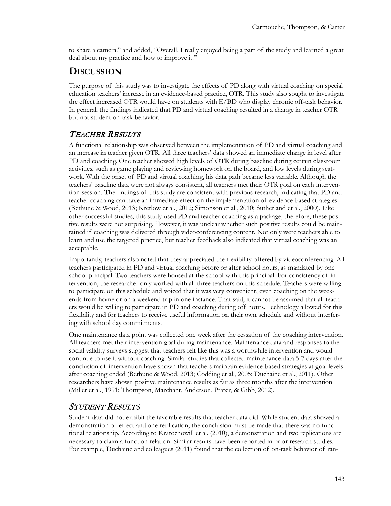to share a camera." and added, "Overall, I really enjoyed being a part of the study and learned a great deal about my practice and how to improve it."

# **DISCUSSION**

The purpose of this study was to investigate the effects of PD along with virtual coaching on special education teachers' increase in an evidence-based practice, OTR. This study also sought to investigate the effect increased OTR would have on students with E/BD who display chronic off-task behavior. In general, the findings indicated that PD and virtual coaching resulted in a change in teacher OTR but not student on-task behavior.

# TEACHER RESULTS

A functional relationship was observed between the implementation of PD and virtual coaching and an increase in teacher given OTR. All three teachers' data showed an immediate change in level after PD and coaching. One teacher showed high levels of OTR during baseline during certain classroom activities, such as game playing and reviewing homework on the board, and low levels during seatwork. With the onset of PD and virtual coaching, his data path became less variable. Although the teachers' baseline data were not always consistent, all teachers met their OTR goal on each intervention session. The findings of this study are consistent with previous research, indicating that PD and teacher coaching can have an immediate effect on the implementation of evidence-based strategies (Bethune & Wood, 2013; Kretlow et al., 2012; Simonson et al., 2010; Sutherland et al., 2000). Like other successful studies, this study used PD and teacher coaching as a package; therefore, these positive results were not surprising. However, it was unclear whether such positive results could be maintained if coaching was delivered through videoconferencing content. Not only were teachers able to learn and use the targeted practice, but teacher feedback also indicated that virtual coaching was an acceptable.

Importantly, teachers also noted that they appreciated the flexibility offered by videoconferencing. All teachers participated in PD and virtual coaching before or after school hours, as mandated by one school principal. Two teachers were housed at the school with this principal. For consistency of intervention, the researcher only worked with all three teachers on this schedule. Teachers were willing to participate on this schedule and voiced that it was very convenient, even coaching on the weekends from home or on a weekend trip in one instance. That said, it cannot be assumed that all teachers would be willing to participate in PD and coaching during off hours. Technology allowed for this flexibility and for teachers to receive useful information on their own schedule and without interfering with school day commitments.

One maintenance data point was collected one week after the cessation of the coaching intervention. All teachers met their intervention goal during maintenance. Maintenance data and responses to the social validity surveys suggest that teachers felt like this was a worthwhile intervention and would continue to use it without coaching. Similar studies that collected maintenance data 5-7 days after the conclusion of intervention have shown that teachers maintain evidence-based strategies at goal levels after coaching ended (Bethune & Wood, 2013; Codding et al., 2005; Duchaine et al., 2011). Other researchers have shown positive maintenance results as far as three months after the intervention (Miller et al., 1991; Thompson, Marchant, Anderson, Prater, & Gibb, 2012).

# STUDENT RESULTS

Student data did not exhibit the favorable results that teacher data did. While student data showed a demonstration of effect and one replication, the conclusion must be made that there was no functional relationship. According to Kratochowill et al. (2010), a demonstration and two replications are necessary to claim a function relation. Similar results have been reported in prior research studies. For example, Duchaine and colleagues (2011) found that the collection of on-task behavior of ran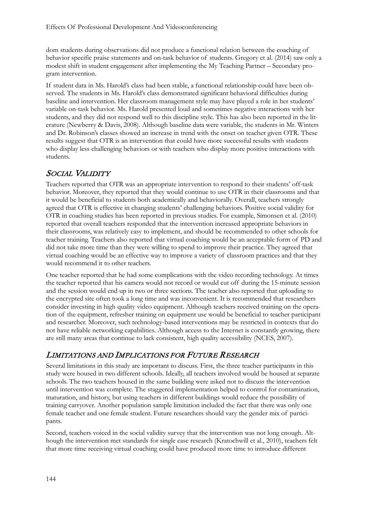dom students during observations did not produce a functional relation between the coaching of behavior specific praise statements and on-task behavior of students. Gregory et al. (2014) saw only a modest shift in student engagement after implementing the My Teaching Partner – Secondary program intervention.

If student data in Ms. Harold's class had been stable, a functional relationship could have been observed. The students in Ms. Harold's class demonstrated significant behavioral difficulties during baseline and intervention. Her classroom management style may have played a role in her students' variable on-task behavior. Ms. Harold presented loud and sometimes negative interactions with her students, and they did not respond well to this discipline style. This has also been reported in the literature (Newberry & Davis, 2008). Although baseline data were variable, the students in Mr. Winters and Dr. Robinson's classes showed an increase in trend with the onset on teacher given OTR. These results suggest that OTR is an intervention that could have more successful results with students who display less challenging behaviors or with teachers who display more positive interactions with students.

# SOCIAL VALIDITY

Teachers reported that OTR was an appropriate intervention to respond to their students' off-task behavior. Moreover, they reported that they would continue to use OTR in their classrooms and that it would be beneficial to students both academically and behaviorally. Overall, teachers strongly agreed that OTR is effective in changing students' challenging behaviors. Positive social validity for OTR in coaching studies has been reported in previous studies. For example, Simonsen et al. (2010) reported that overall teachers responded that the intervention increased appropriate behaviors in their classrooms, was relatively easy to implement, and should be recommended to other schools for teacher training. Teachers also reported that virtual coaching would be an acceptable form of PD and did not take more time than they were willing to spend to improve their practice. They agreed that virtual coaching would be an effective way to improve a variety of classroom practices and that they would recommend it to other teachers.

One teacher reported that he had some complications with the video recording technology. At times the teacher reported that his camera would not record or would cut off during the 15-minute session and the session would end up in two or three sections. The teacher also reported that uploading to the encrypted site often took a long time and was inconvenient. It is recommended that researchers consider investing in high quality video equipment. Although teachers received training on the operation of the equipment, refresher training on equipment use would be beneficial to teacher participant and researcher. Moreover, such technology-based interventions may be restricted in contexts that do not have reliable networking capabilities. Although access to the Internet is constantly growing, there are still many areas that continue to lack consistent, high quality accessibility (NCES, 2007).

# LIMITATIONS AND IMPLICATIONS FOR FUTURE RESEARCH

Several limitations in this study are important to discuss. First, the three teacher participants in this study were housed in two different schools. Ideally, all teachers involved would be housed at separate schools. The two teachers housed in the same building were asked not to discuss the intervention until intervention was complete. The staggered implementation helped to control for contamination, maturation, and history, but using teachers in different buildings would reduce the possibility of training carryover. Another population sample limitation included the fact that there was only one female teacher and one female student. Future researchers should vary the gender mix of participants.

Second, teachers voiced in the social validity survey that the intervention was not long enough. Although the intervention met standards for single case research (Kratochwill et al., 2010), teachers felt that more time receiving virtual coaching could have produced more time to introduce different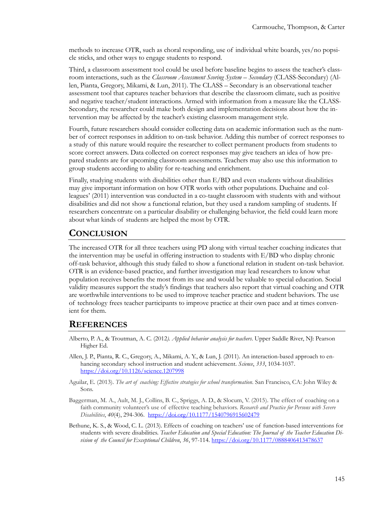methods to increase OTR, such as choral responding, use of individual white boards, yes/no popsicle sticks, and other ways to engage students to respond.

Third, a classroom assessment tool could be used before baseline begins to assess the teacher's classroom interactions, such as the *Classroom Assessment Scoring System – Secondary* (CLASS-Secondary) (Allen, Pianta, Gregory, Mikami, & Lun, 2011). The CLASS – Secondary is an observational teacher assessment tool that captures teacher behaviors that describe the classroom climate, such as positive and negative teacher/student interactions. Armed with information from a measure like the CLASS-Secondary, the researcher could make both design and implementation decisions about how the intervention may be affected by the teacher's existing classroom management style.

Fourth, future researchers should consider collecting data on academic information such as the number of correct responses in addition to on-task behavior. Adding this number of correct responses to a study of this nature would require the researcher to collect permanent products from students to score correct answers. Data collected on correct responses may give teachers an idea of how prepared students are for upcoming classroom assessments. Teachers may also use this information to group students according to ability for re-teaching and enrichment.

Finally, studying students with disabilities other than E/BD and even students without disabilities may give important information on how OTR works with other populations. Duchaine and colleagues' (2011) intervention was conducted in a co-taught classroom with students with and without disabilities and did not show a functional relation, but they used a random sampling of students. If researchers concentrate on a particular disability or challenging behavior, the field could learn more about what kinds of students are helped the most by OTR.

# **CONCLUSION**

The increased OTR for all three teachers using PD along with virtual teacher coaching indicates that the intervention may be useful in offering instruction to students with E/BD who display chronic off-task behavior, although this study failed to show a functional relation in student on-task behavior. OTR is an evidence-based practice, and further investigation may lead researchers to know what population receives benefits the most from its use and would be valuable to special education. Social validity measures support the study's findings that teachers also report that virtual coaching and OTR are worthwhile interventions to be used to improve teacher practice and student behaviors. The use of technology frees teacher participants to improve practice at their own pace and at times convenient for them.

### **REFERENCES**

- Alberto, P. A., & Troutman, A. C. (2012*). Applied behavior analysis for teachers*. Upper Saddle River, NJ: Pearson Higher Ed.
- Allen, J. P., Pianta, R. C., Gregory, A., Mikami, A. Y., & Lun, J. (2011). An interaction-based approach to enhancing secondary school instruction and student achievement. *Science*, *333*, 1034-1037. <https://doi.org/10.1126/science.1207998>
- Aguilar, E. (2013). *The art of coaching: Effective strategies for school transformation*. San Francisco, CA: John Wiley & Sons.
- Baggerman, M. A., Ault, M. J., Collins, B. C., Spriggs, A. D., & Slocum, V. (2015). The effect of coaching on a faith community volunteer's use of effective teaching behaviors. *Research and Practice for Persons with Severe Disabilities*, *40*(4), 294-306. <https://doi.org/10.1177/1540796915602479>
- Bethune, K. S., & Wood, C. L. (2013). Effects of coaching on teachers' use of function-based interventions for students with severe disabilities. *Teacher Education and Special Education: The Journal of the Teacher Education Division of the Council for Exceptional Children*, *36*, 97-114. <https://doi.org/10.1177/0888406413478637>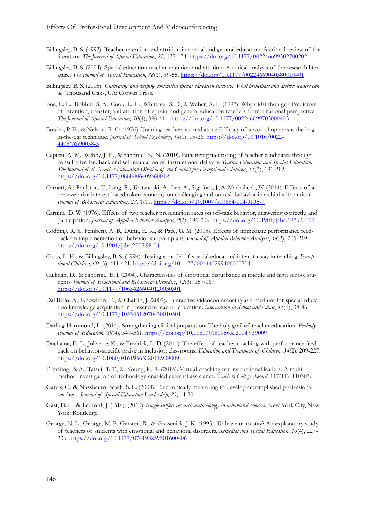- Billingsley, B. S. (1993). Teacher retention and attrition-in special and general education: A critical review of the literature. *The Journal of Special Education*, *27*, 137-174. <https://doi.org/10.1177/002246699302700202>
- Billingsley, B. S. (2004). Special education teacher retention and attrition: A critical analysis of the research literature. *The Journal of Special Education*, *38*(1), 39-55. <https://doi.org/10.1177/00224669040380010401>
- Billingsley, B. S. (2005). *Cultivating and keeping committed special education teachers: What principals and district leaders can do*. Thousand Oaks, CA: Corwin Press.
- Boe, E. E., Bobbitt, S. A., Cook, L. H., Whitener, S. D., & Weber, A. L. (1997). Why didst thou go? Predictors of retention, transfer, and attrition of special and general education teachers from a national perspective. *The Journal of Special Education*, *30*(4), 390-411. <https://doi.org/10.1177/002246699703000403>
- Bowles, P. E., & Nelson, R. O. (1976). Training teachers as mediators: Efficacy of a workshop versus the bugin-the-ear technique. *Journal of School Psychology*, *14*(1), 15-26. [https://doi.org/10.1016/0022](https://doi.org/10.1016/0022-4405(76)90058-3)- [4405\(76\)90058](https://doi.org/10.1016/0022-4405(76)90058-3)-3
- Capizzi, A. M., Wehby, J. H., & Sandmel, K. N. (2010). Enhancing mentoring of teacher candidates through consultative feedback and self-evaluation of instructional delivery. *Teacher Education and Special Education: The Journal of the Teacher Education Division of the Council for Exceptional Children*, *33*(3), 191-212. <https://doi.org/10.1177/0888406409360012>
- Carnett, A., Raulston, T., Lang, R., Tostanoski, A., Lee, A., Sigafoos, J., & Machalicek, W. (2014). Effects of a perseverative interest-based token economy on challenging and on-task behavior in a child with autism. *Journal of Behavioral Education, 23,* 1-10. [https://doi.org/10.1007/s10864](https://doi.org/10.1007/s10864-014-9195-7)-014-9195-7
- Carnine, D. W. (1976). Effects of two teacher presentation rates on off-task behavior, answering correctly, and participation. *Journal of Applied Behavior Analysis*, *9*(2), 199-206. [https://doi.org/10.1901/jaba.1976.9](https://doi.org/10.1901/jaba.1976.9-199)-199
- Codding, R. S., Feinberg, A. B., Dunn, E. K., & Pace, G. M. (2005). Effects of immediate performance feedback on implementation of behavior support plans. *Journal of Applied Behavior Analysis*, *38*(2), 205-219. [https://doi.org/10.1901/jaba.2005.98](https://doi.org/10.1901/jaba.2005.98-04)-04
- Cross, L. H., & Billingsley, B. S. (1994). Testing a model of special educators' intent to stay in teaching. *Exceptional Children*, *60* (5), 411-421. <https://doi.org/10.1177/001440299406000504>
- Cullinan, D., & Sabornie, E. J. (2004). Characteristics of emotional disturbance in middle and high school students. *Journal of Emotional and Behavioral Disorders*, *12*(3), 157-167. <https://doi.org/10.1177/10634266040120030301>
- Dal Bello, A., Knowlton, E., & Chaffin, J. (2007). Interactive videoconferencing as a medium for special education knowledge acquisition in preservice teacher education. *Intervention in School and Clinic*, *43*(1), 38-46. <https://doi.org/10.1177/10534512070430010501>
- Darling-Hammond, L. (2014). Strengthening clinical preparation: The holy grail of teacher education. *Peabody Journal of Education*, *89*(4), 547-561. <https://doi.org/10.1080/0161956X.2014.939009>
- Duchaine, E. L., Jolivette, K., & Fredrick, L. D. (2011). The effect of teacher coaching with performance feedback on behavior-specific praise in inclusion classrooms. *Education and Treatment of Children*, *34*(2), 209-227. <https://doi.org/10.1080/0161956X.2014.939009>
- Ermeling, B. A., Tatsui, T. T., &. Young, K. R. (2015). Virtual coaching for instructional leaders: A multimethod investigation of technology-enabled external assistance. *Teachers College Record*, 117(11), 110303.
- Gareis, C., & Nussbaum-Beach, S. L. (2008). Electronically mentoring to develop accomplished professional teachers. *Journal of Special Education Leadership, 23*, 14-20.
- Gast, D. L., & Ledford, J. (Eds.). (2010). *Single-subject research methodology in behavioral sciences*. New York City, New York: Routledge.
- George, N. L., George, M. P., Gersten, R., & Grosenick, J. K. (1995). To leave or to stay? An exploratory study of teachers of students with emotional and behavioral disorders. *Remedial and Special Education*, *16*(4), 227- 236. <https://doi.org/10.1177/074193259501600406>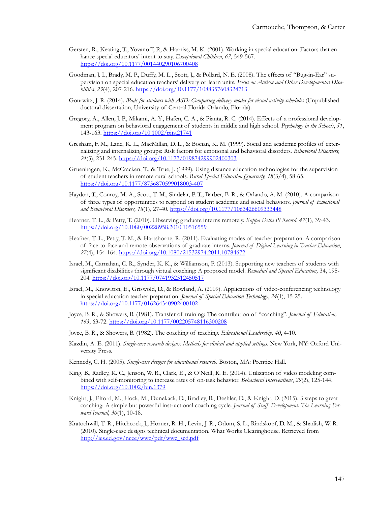- Gersten, R., Keating, T., Yovanoff, P., & Harniss, M. K. (2001). Working in special education: Factors that enhance special educators' intent to stay. *Exceptional Children*, *67*, 549-567. <https://doi.org/10.1177/001440290106700408>
- Goodman, J. I., Brady, M. P., Duffy, M. L., Scott, J., & Pollard, N. E. (2008). The effects of "Bug-in-Ear" supervision on special education teachers' delivery of learn units. *Focus on Autism and Other Developmental Disabilities*, *23*(4), 207-216. <https://doi.org/10.1177/1088357608324713>
- Gourwitz, J. R. (2014). *iPads for students with ASD: Comparing delivery modes for visual activity schedules* (Unpublished doctoral dissertation, University of Central Florida Orlando, Florida).
- Gregory, A., Allen, J. P., Mikami, A. Y., Hafen, C. A., & Pianta, R. C. (2014). Effects of a professional development program on behavioral engagement of students in middle and high school. *Psychology in the Schools*, *51*, 143-163. <https://doi.org/10.1002/pits.21741>
- Gresham, F. M., Lane, K. L., MacMillan, D. L., & Bocian, K. M. (1999). Social and academic profiles of externalizing and internalizing groups: Risk factors for emotional and behavioral disorders*. Behavioral Disorders, 24*(3), 231-245. <https://doi.org/10.1177/019874299902400303>
- Gruenhagen, K., McCracken, T., & True, J. (1999). Using distance education technologies for the supervision of student teachers in remote rural schools. *Rural Special Education Quarterly, 18*(3/4), 58-65. [https://doi.org/10.1177/8756870599018003](https://doi.org/10.1177/8756870599018003-407)-407
- Haydon, T., Conroy, M. A., Scott, T. M., Sindelar, P. T., Barber, B. R., & Orlando, A. M. (2010). A comparison of three types of opportunities to respond on student academic and social behaviors. *Journal of Emotional and Behavioral Disorders, 18*(1), 27-40. <https://doi.org/10.1177/1063426609333448>
- Heafner, T. L., & Petty, T. (2010). Observing graduate interns remotely. *Kappa Delta Pi Record*, *47*(1), 39-43. <https://doi.org/10.1080/00228958.2010.10516559>
- Heafner, T. L., Petty, T. M., & Hartshorne, R. (2011). Evaluating modes of teacher preparation: A comparison of face-to-face and remote observations of graduate interns. *Journal of Digital Learning in Teacher Education*, *27*(4), 154-164. <https://doi.org/10.1080/21532974.2011.10784672>
- Israel, M., Carnahan, C. R., Synder, K. K., & Williamson, P. (2013). Supporting new teachers of students with significant disabilities through virtual coaching: A proposed model. *Remedial and Special Education,* 34, 195- 204*.* <https://doi.org/10.1177/0741932512450517>
- Israel, M., Knowlton, E., Griswold, D., & Rowland, A. (2009). Applications of video-conferencing technology in special education teacher preparation. *Journal of Special Education Technology*, *24*(1), 15-25. <https://doi.org/10.1177/016264340902400102>
- Joyce, B. R., & Showers, B. (1981). Transfer of training: The contribution of "coaching". *Journal of Education, 163*, 63-72. <https://doi.org/10.1177/002205748116300208>
- Joyce, B. R., & Showers, B. (1982). The coaching of teaching. *Educational Leadership, 40*, 4-10.
- Kazdin, A. E. (2011). *Single-case research designs: Methods for clinical and applied settings*. New York, NY: Oxford University Press.
- Kennedy, C. H. (2005). *Single-case designs for educational research*. Boston, MA: Prentice Hall.
- King, B., Radley, K. C., Jenson, W. R., Clark, E., & O'Neill, R. E. (2014). Utilization of video modeling combined with self-monitoring to increase rates of on-task behavior. *Behavioral Interventions*, *29*(2), 125-144. <https://doi.org/10.1002/bin.1379>
- Knight, J., Elford, M., Hock, M., Dunekack, D., Bradley, B., Deshler, D., & Knight, D. (2015). 3 steps to great coaching: A simple but powerful instructional coaching cycle. *Journal of Staff Development: The Learning Forward Journal*, *36*(1), 10-18.
- Kratochwill, T. R., Hitchcock, J., Horner, R. H., Levin, J. R., Odom, S. L., Rindskopf, D. M., & Shadish, W. R. (2010). Single-case designs technical documentation. What Works Clearinghouse. Retrieved from [http://ies.ed.gov/ncee/wwc/pdf/wwc\\_scd.pdf](http://ies.ed.gov/ncee/wwc/pdf/wwc_scd.pdf)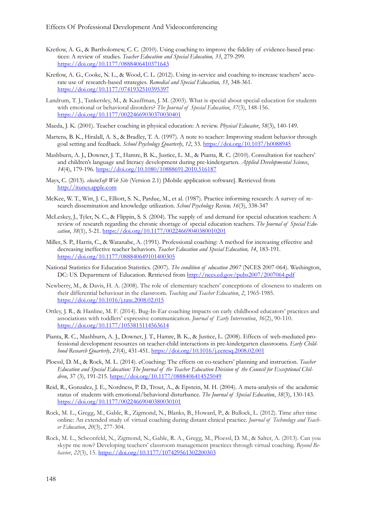- Kretlow, A. G., & Bartholomew, C. C. (2010). Using coaching to improve the fidelity of evidence-based practices: A review of studies. *Teacher Education and Special Education, 33*, 279-299. <https://doi.org/10.1177/0888406410371643>
- Kretlow, A. G., Cooke, N. L., & Wood, C. L. (2012). Using in-service and coaching to increase teachers' accurate use of research-based strategies*. Remedial and Special Education, 33*, 348-361. <https://doi.org/10.1177/0741932510395397>
- Landrum, T. J., Tankersley, M., & Kauffman, J. M. (2003). What is special about special education for students with emotional or behavioral disorders? *The Journal of Special Education*, *37*(3), 148-156. <https://doi.org/10.1177/00224669030370030401>
- Maeda, J. K. (2001). Teacher coaching in physical education: A review. *Physical Educator*, *58*(3), 140-149.
- Martens, B. K., Hiralall, A. S., & Bradley, T. A. (1997). A note to teacher: Improving student behavior through goal setting and feedback. *School Psychology Quarterly*, *12*, 33. <https://doi.org/10.1037/h0088945>
- Mashburn, A. J., Downer, J. T., Hamre, B. K., Justice, L. M., & Pianta, R. C. (2010). Consultation for teachers' and children's language and literacy development during pre-kindergarten. *Applied Developmental Science*, *14*(4), 179-196. <https://doi.org/10.1080/10888691.2010.516187>
- Mays, C. (2013). *elocinSoft Web Site* (Version 2.1) [Mobile application software]. Retrieved from [http://itunes.apple.com](http://itunes.apple.com/)
- McKee, W. T., Witt, J. C., Elliott, S. N., Pardue, M., et al. (1987). Practice informing research: A survey of research dissemination and knowledge utilization. *School Psychology Review, 16*(3), 338-347
- McLeskey, J., Tyler, N. C., & Flippin, S. S. (2004). The supply of and demand for special education teachers: A review of research regarding the chronic shortage of special education teachers. *The Journal of Special Education*, *38*(1), 5-21. <https://doi.org/10.1177/00224669040380010201>
- Miller, S. P., Harris, C., & Watanabe, A. (1991). Professional coaching: A method for increasing effective and decreasing ineffective teacher behaviors. *Teacher Education and Special Education, 14*, 183-191. <https://doi.org/10.1177/088840649101400305>
- National Statistics for Education Statistics. (2007). *The condition of education 2007* (NCES 2007-064). Washington, DC: US. Department of Education. Retrieved from<http://nces.ed.gov/pubs2007/2007064.pdf>
- Newberry, M., & Davis, H. A. (2008). The role of elementary teachers' conceptions of closeness to students on their differential behaviour in the classroom. *Teaching and Teacher Education*, *2*, 1965-1985. <https://doi.org/10.1016/j.tate.2008.02.015>
- Ottley, J. R., & Hanline, M. F. (2014). Bug-In-Ear coaching impacts on early childhood educators' practices and associations with toddlers' expressive communication. *Journal of Early Intervention*, *36*(2), 90-110. <https://doi.org/10.1177/1053815114563614>
- Pianta, R. C., Mashburn, A. J., Downer, J. T., Hamre, B. K., & Justice, L. (2008). Effects of web-mediated professional development resources on teacher-child interactions in pre-kindergarten classrooms. *Early Childhood Research Quarterly*, *23*(4), 431-451. <https://doi.org/10.1016/j.ecresq.2008.02.001>
- Ploessl, D. M., & Rock, M. L. (2014). eCoaching: The effects on co-teachers' planning and instruction. *Teacher Education and Special Education: The Journal of the Teacher Education Division of the Council for Exceptional Children*, 37 (3), 191-215. <https://doi.org/10.1177/0888406414525049>
- Reid, R., Gonzalez, J. E., Nordness, P. D., Trout, A., & Epstein, M. H. (2004). A meta-analysis of the academic status of students with emotional/behavioral disturbance. *The Journal of Special Education*, *38*(3), 130-143. <https://doi.org/10.1177/00224669040380030101>
- Rock, M. L., Gregg, M., Gable, R., Zigmond, N., Blanks, B., Howard, P., & Bullock, L. (2012). Time after time online: An extended study of virtual coaching during distant clinical practice. *Journal of Technology and Teacher Education*, *20*(3), 277-304.
- Rock, M. L., Scheonfeld, N., Zigmond, N., Gable, R. A., Gregg, M., Ploessl, D. M., & Salter, A. (2013). Can you skype me now? Developing teachers' classroom management practices through virtual coaching. *Beyond Behavior*, *22*(3), 15. <https://doi.org/10.1177/107429561302200303>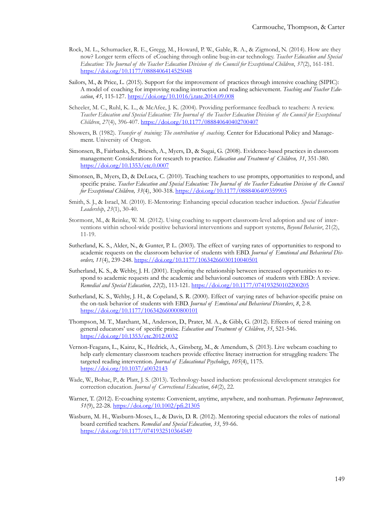- Rock, M. L., Schumacker, R. E., Gregg, M., Howard, P. W., Gable, R. A., & Zigmond, N. (2014). How are they now? Longer term effects of eCoaching through online bug-in-ear technology. *Teacher Education and Special Education: The Journal of the Teacher Education Division of the Council for Exceptional Children*, *37*(2), 161-181. <https://doi.org/10.1177/0888406414525048>
- Sailors, M., & Price, L. (2015). Support for the improvement of practices through intensive coaching (SIPIC): A model of coaching for improving reading instruction and reading achievement. *Teaching and Teacher Education*, *45*, 115-127. <https://doi.org/10.1016/j.tate.2014.09.008>
- Scheeler, M. C., Ruhl, K. L., & McAfee, J. K. (2004). Providing performance feedback to teachers: A review. *Teacher Education and Special Education: The Journal of the Teacher Education Division of the Council for Exceptional Children*, *27*(4), 396-407. <https://doi.org/10.1177/088840640402700407>
- Showers, B. (1982). *Transfer of training: The contribution of coaching*. Center for Educational Policy and Management. University of Oregon.
- Simonsen, B., Fairbanks, S., Briesch, A., Myers, D., & Sugai, G. (2008). Evidence-based practices in classroom management: Considerations for research to practice. *Education and Treatment of Children, 31*, 351-380. <https://doi.org/10.1353/etc.0.0007>
- Simonsen, B., Myers, D., & DeLuca, C. (2010). Teaching teachers to use prompts, opportunities to respond, and specific praise. *Teacher Education and Special Education: The Journal of the Teacher Education Division of the Council for Exceptional Children, 33*(4), 300-318. <https://doi.org/10.1177/0888406409359905>
- Smith, S. J., & Israel, M. (2010). E-Mentoring: Enhancing special education teacher induction. *Special Education Leadership*, *23*(1), 30-40.
- Stormont, M., & Reinke, W. M. (2012). Using coaching to support classroom-level adoption and use of interventions within school-wide positive behavioral interventions and support systems, *Beyond Behavior*, 21(2), 11-19.
- Sutherland, K. S., Alder, N., & Gunter, P. L. (2003). The effect of varying rates of opportunities to respond to academic requests on the classroom behavior of students with EBD. *Journal of Emotional and Behavioral Disorders, 11*(4), 239-248. <https://doi.org/10.1177/10634266030110040501>
- Sutherland, K. S., & Wehby, J. H. (2001). Exploring the relationship between increased opportunities to respond to academic requests and the academic and behavioral outcomes of students with EBD: A review*. Remedial and Special Education, 22*(2), 113-121. <https://doi.org/10.1177/074193250102200205>
- Sutherland, K. S., Wehby, J. H., & Copeland, S. R. (2000). Effect of varying rates of behavior-specific praise on the on-task behavior of students with EBD. *Journal of Emotional and Behavioral Disorders*, *8*, 2-8. <https://doi.org/10.1177/106342660000800101>
- Thompson, M. T., Marchant, M., Anderson, D., Prater, M. A., & Gibb, G. (2012). Effects of tiered training on general educators' use of specific praise. *Education and Treatment of Children*, *35*, 521-546. <https://doi.org/10.1353/etc.2012.0032>
- Vernon-Feagans, L., Kainz, K., Hedrick, A., Ginsberg, M., & Amendum, S. (2013). Live webcam coaching to help early elementary classroom teachers provide effective literacy instruction for struggling readers: The targeted reading intervention. *Journal of Educational Psychology*, *105*(4), 1175. <https://doi.org/10.1037/a0032143>
- Wade, W., Bohac, P., & Platt, J. S. (2013). Technology-based induction: professional development strategies for correction education. *Journal of Correctional Education*, *64*(2), 22.
- Warner, T. (2012). E-coaching systems: Convenient, anytime, anywhere, and nonhuman. *Performance Improvement*, *51*(9), 22-28. <https://doi.org/10.1002/pfi.21305>
- Wasburn, M. H., Wasburn-Moses, L., & Davis, D. R. (2012). Mentoring special educators the roles of national board certified teachers. *Remedial and Special Education*, *33*, 59-66. <https://doi.org/10.1177/0741932510364549>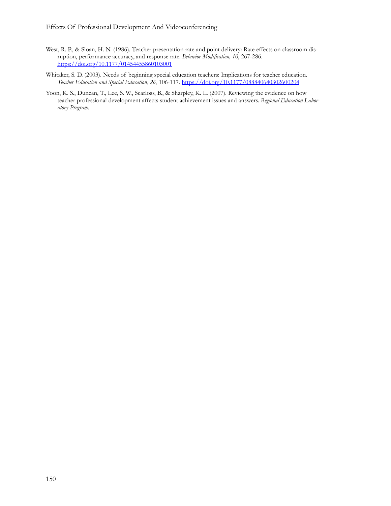- West, R. P., & Sloan, H. N. (1986). Teacher presentation rate and point delivery: Rate effects on classroom disruption, performance accuracy, and response rate. *Behavior Modification, 10*, 267-286. <https://doi.org/10.1177/01454455860103001>
- Whitaker, S. D. (2003). Needs of beginning special education teachers: Implications for teacher education. *Teacher Education and Special Education*, *26*, 106-117. <https://doi.org/10.1177/088840640302600204>
- Yoon, K. S., Duncan, T., Lee, S. W., Scarloss, B., & Sharpley, K. L. (2007). Reviewing the evidence on how teacher professional development affects student achievement issues and answers. *Regional Education Laboratory Program.*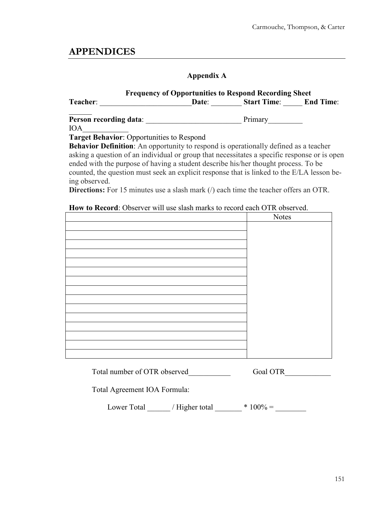# **APPENDICES**

### **Appendix A**

|                        |       | <b>Frequency of Opportunities to Respond Recording Sheet</b> |                  |
|------------------------|-------|--------------------------------------------------------------|------------------|
| Teacher:               | Date: | <b>Start Time:</b>                                           | <b>End Time:</b> |
| Person recording data: |       | Primary                                                      |                  |
| <b>IOA</b>             |       |                                                              |                  |

#### **Target Behavior**: Opportunities to Respond

**Behavior Definition**: An opportunity to respond is operationally defined as a teacher asking a question of an individual or group that necessitates a specific response or is open ended with the purpose of having a student describe his/her thought process. To be counted, the question must seek an explicit response that is linked to the E/LA lesson being observed.

**Directions:** For 15 minutes use a slash mark (*/*) each time the teacher offers an OTR.

#### **How to Record**: Observer will use slash marks to record each OTR observed.

| <b>Notes</b> |
|--------------|
|              |
|              |
|              |
|              |
|              |
|              |
|              |
|              |
|              |
|              |
|              |
|              |
|              |
|              |
|              |
|              |

Total number of OTR observed Goal OTR

Total Agreement IOA Formula:

Lower Total  $\qquad$  / Higher total  $\qquad$  \* 100% =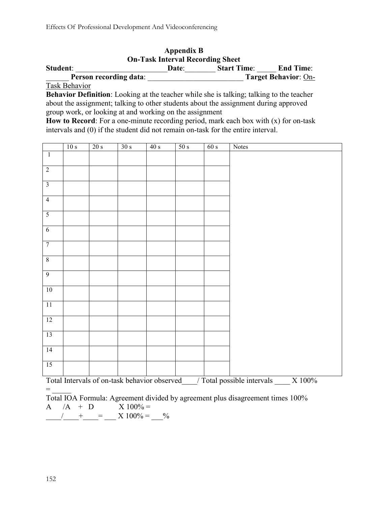|                        | <b>Appendix B</b><br><b>On-Task Interval Recording Sheet</b> |                    |                             |
|------------------------|--------------------------------------------------------------|--------------------|-----------------------------|
| Student:               | Date:                                                        | <b>Start Time:</b> | <b>End Time:</b>            |
| Person recording data: |                                                              |                    | <b>Target Behavior: On-</b> |
| <b>Task Behavior</b>   |                                                              |                    |                             |

**Behavior Definition**: Looking at the teacher while she is talking; talking to the teacher about the assignment; talking to other students about the assignment during approved group work, or looking at and working on the assignment

**How to Record**: For a one-minute recording period, mark each box with (x) for on-task intervals and (0) if the student did not remain on-task for the entire interval.

|                         | 10 s | 20 s                                                                                                                                                                                                                                                                                                                                                                                 | 30 s | $\overline{40 \text{ s}}$ | 50 s | 60 s | Notes                                                                                                                                                                                                                                                                                                              |
|-------------------------|------|--------------------------------------------------------------------------------------------------------------------------------------------------------------------------------------------------------------------------------------------------------------------------------------------------------------------------------------------------------------------------------------|------|---------------------------|------|------|--------------------------------------------------------------------------------------------------------------------------------------------------------------------------------------------------------------------------------------------------------------------------------------------------------------------|
| $\overline{1}$          |      |                                                                                                                                                                                                                                                                                                                                                                                      |      |                           |      |      |                                                                                                                                                                                                                                                                                                                    |
| $\overline{2}$          |      |                                                                                                                                                                                                                                                                                                                                                                                      |      |                           |      |      |                                                                                                                                                                                                                                                                                                                    |
| $\overline{\mathbf{3}}$ |      |                                                                                                                                                                                                                                                                                                                                                                                      |      |                           |      |      |                                                                                                                                                                                                                                                                                                                    |
| $\overline{4}$          |      |                                                                                                                                                                                                                                                                                                                                                                                      |      |                           |      |      |                                                                                                                                                                                                                                                                                                                    |
| $\overline{5}$          |      |                                                                                                                                                                                                                                                                                                                                                                                      |      |                           |      |      |                                                                                                                                                                                                                                                                                                                    |
| $\overline{6}$          |      |                                                                                                                                                                                                                                                                                                                                                                                      |      |                           |      |      |                                                                                                                                                                                                                                                                                                                    |
| $\overline{7}$          |      |                                                                                                                                                                                                                                                                                                                                                                                      |      |                           |      |      |                                                                                                                                                                                                                                                                                                                    |
| $8\,$                   |      |                                                                                                                                                                                                                                                                                                                                                                                      |      |                           |      |      |                                                                                                                                                                                                                                                                                                                    |
| $\overline{9}$          |      |                                                                                                                                                                                                                                                                                                                                                                                      |      |                           |      |      |                                                                                                                                                                                                                                                                                                                    |
| 10                      |      |                                                                                                                                                                                                                                                                                                                                                                                      |      |                           |      |      |                                                                                                                                                                                                                                                                                                                    |
| 11                      |      |                                                                                                                                                                                                                                                                                                                                                                                      |      |                           |      |      |                                                                                                                                                                                                                                                                                                                    |
| 12                      |      |                                                                                                                                                                                                                                                                                                                                                                                      |      |                           |      |      |                                                                                                                                                                                                                                                                                                                    |
| 13                      |      |                                                                                                                                                                                                                                                                                                                                                                                      |      |                           |      |      |                                                                                                                                                                                                                                                                                                                    |
| 14                      |      |                                                                                                                                                                                                                                                                                                                                                                                      |      |                           |      |      |                                                                                                                                                                                                                                                                                                                    |
| 15                      |      |                                                                                                                                                                                                                                                                                                                                                                                      |      |                           |      |      |                                                                                                                                                                                                                                                                                                                    |
|                         |      | $\overline{B}$ $\overline{B}$ $\overline{A}$ $\overline{B}$ $\overline{A}$ $\overline{B}$ $\overline{A}$ $\overline{A}$ $\overline{B}$ $\overline{A}$ $\overline{B}$ $\overline{A}$ $\overline{A}$ $\overline{B}$ $\overline{A}$ $\overline{A}$ $\overline{A}$ $\overline{A}$ $\overline{A}$ $\overline{A}$ $\overline{A}$ $\overline{A}$ $\overline{A}$ $\overline{A}$ $\overline{$ |      |                           |      |      | $\frac{1}{1}$ $\sqrt{m+1}$ $\frac{1}{1}$ $\frac{1}{1}$ $\frac{1}{1}$ $\frac{1}{1}$ $\frac{1}{1}$ $\frac{1}{1}$ $\frac{1}{1}$ $\frac{1}{1}$ $\frac{1}{1}$ $\frac{1}{1}$ $\frac{1}{1}$ $\frac{1}{1}$ $\frac{1}{1}$ $\frac{1}{1}$ $\frac{1}{1}$ $\frac{1}{1}$ $\frac{1}{1}$ $\frac{1}{1}$ $\frac{1}{1}$ $\frac{1}{1}$ |

Total Intervals of on-task behavior observed  $/$  Total possible intervals  $X$  100%

Total IOA Formula: Agreement divided by agreement plus disagreement times 100% A  $/A + D$   $X 100\% =$  $A \longrightarrow A + B$ <br>  $\longrightarrow$   $A \longrightarrow 100\% =$   $\longrightarrow$   $\longrightarrow$ 

 $=$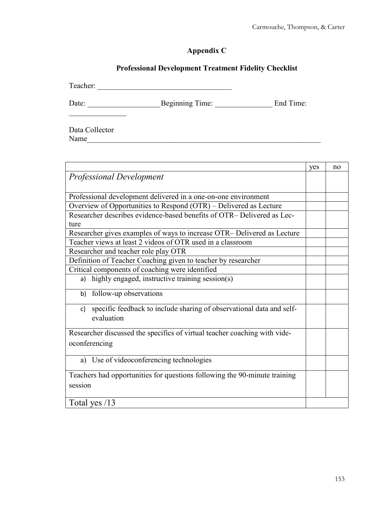# **Appendix C**

## **Professional Development Treatment Fidelity Checklist**

Teacher: \_\_\_\_\_\_\_\_\_\_\_\_\_\_\_\_\_\_\_\_\_\_\_\_\_\_\_\_\_\_\_\_\_\_\_

Date: \_\_\_\_\_\_\_\_\_\_\_\_\_\_\_\_\_\_\_Beginning Time: \_\_\_\_\_\_\_\_\_\_\_\_\_\_\_ End Time:

Data Collector Name

 $\mathcal{L}_\text{max}$  . The set of the set of the set of the set of the set of the set of the set of the set of the set of the set of the set of the set of the set of the set of the set of the set of the set of the set of the set

|                                                                            | yes | no |
|----------------------------------------------------------------------------|-----|----|
| <b>Professional Development</b>                                            |     |    |
|                                                                            |     |    |
| Professional development delivered in a one-on-one environment             |     |    |
| Overview of Opportunities to Respond (OTR) - Delivered as Lecture          |     |    |
| Researcher describes evidence-based benefits of OTR-Delivered as Lec-      |     |    |
| ture                                                                       |     |    |
| Researcher gives examples of ways to increase OTR- Delivered as Lecture    |     |    |
| Teacher views at least 2 videos of OTR used in a classroom                 |     |    |
| Researcher and teacher role play OTR                                       |     |    |
| Definition of Teacher Coaching given to teacher by researcher              |     |    |
| Critical components of coaching were identified                            |     |    |
| highly engaged, instructive training session(s)<br>a)                      |     |    |
| follow-up observations<br>b)                                               |     |    |
| specific feedback to include sharing of observational data and self-<br>c) |     |    |
| evaluation                                                                 |     |    |
| Researcher discussed the specifics of virtual teacher coaching with vide-  |     |    |
| oconferencing                                                              |     |    |
|                                                                            |     |    |
| a) Use of videoconferencing technologies                                   |     |    |
| Teachers had opportunities for questions following the 90-minute training  |     |    |
| session                                                                    |     |    |
|                                                                            |     |    |
| Total yes /13                                                              |     |    |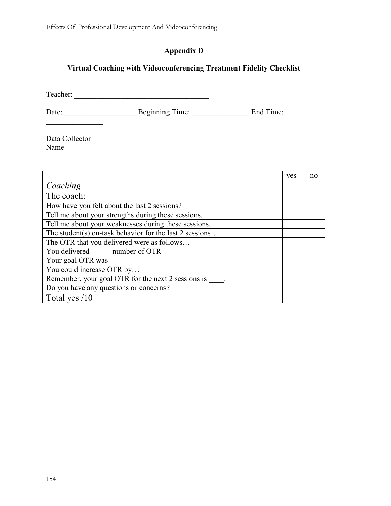# **Appendix D**

## **Virtual Coaching with Videoconferencing Treatment Fidelity Checklist**

Teacher: \_\_\_\_\_\_\_\_\_\_\_\_\_\_\_\_\_\_\_\_\_\_\_\_\_\_\_\_\_\_\_\_\_\_\_

Date: \_\_\_\_\_\_\_\_\_\_\_\_\_\_\_\_\_\_\_Beginning Time: \_\_\_\_\_\_\_\_\_\_\_\_\_\_\_ End Time:

Data Collector Name\_\_\_\_\_\_\_\_\_\_\_\_\_\_\_\_\_\_\_\_\_\_\_\_\_\_\_\_\_\_\_\_\_\_\_\_\_\_\_\_\_\_\_\_\_\_\_\_\_\_\_\_\_\_\_\_\_\_\_\_\_

 $\mathcal{L}_\text{max}$ 

|                                                         | yes | no |
|---------------------------------------------------------|-----|----|
| Coaching                                                |     |    |
| The coach:                                              |     |    |
| How have you felt about the last 2 sessions?            |     |    |
| Tell me about your strengths during these sessions.     |     |    |
| Tell me about your weaknesses during these sessions.    |     |    |
| The student(s) on-task behavior for the last 2 sessions |     |    |
| The OTR that you delivered were as follows              |     |    |
| You delivered number of OTR                             |     |    |
| Your goal OTR was                                       |     |    |
| You could increase OTR by                               |     |    |
| Remember, your goal OTR for the next 2 sessions is      |     |    |
| Do you have any questions or concerns?                  |     |    |
| Total yes $/10$                                         |     |    |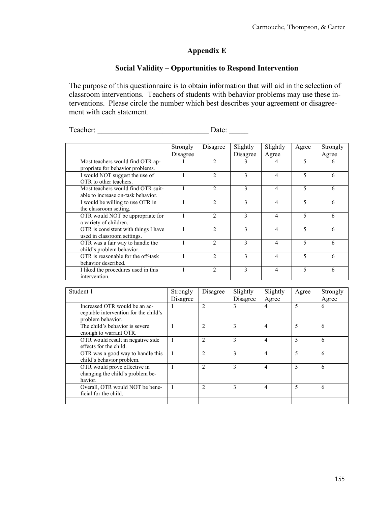### **Appendix E**

### **Social Validity – Opportunities to Respond Intervention**

The purpose of this questionnaire is to obtain information that will aid in the selection of classroom interventions. Teachers of students with behavior problems may use these interventions. Please circle the number which best describes your agreement or disagreement with each statement.

Teacher: \_\_\_\_\_\_\_\_\_\_\_\_\_\_\_\_\_\_\_\_\_\_\_\_\_\_\_\_\_ Date: \_\_\_\_\_

|                                      | Strongly | Disagree       | Slightly     | Slightly | Agree | Strongly |
|--------------------------------------|----------|----------------|--------------|----------|-------|----------|
|                                      | Disagree |                | Disagree     | Agree    |       | Agree    |
| Most teachers would find OTR ap-     |          | $\mathfrak{D}$ | 3            | 4        | 5     | 6        |
| propriate for behavior problems.     |          |                |              |          |       |          |
| I would NOT suggest the use of       |          | $\mathfrak{D}$ | 3            | 4        | 5     | 6        |
| OTR to other teachers.               |          |                |              |          |       |          |
| Most teachers would find OTR suit-   |          | $\mathfrak{D}$ | 3            | 4        | 5     | 6        |
| able to increase on-task behavior.   |          |                |              |          |       |          |
| I would be willing to use OTR in     |          | $\mathfrak{D}$ | 3            | 4        | 5     | 6        |
| the classroom setting.               |          |                |              |          |       |          |
| OTR would NOT be appropriate for     |          | $\mathcal{D}$  | 3            | 4        | 5     | 6        |
| a variety of children.               |          |                |              |          |       |          |
| OTR is consistent with things I have |          | $\mathfrak{D}$ | 3            | 4        | 5     | 6        |
| used in classroom settings.          |          |                |              |          |       |          |
| OTR was a fair way to handle the     |          | $\mathfrak{D}$ | 3            | 4        | 5     | 6        |
| child's problem behavior.            |          |                |              |          |       |          |
| OTR is reasonable for the off-task   |          | $\mathfrak{D}$ | $\mathbf{3}$ | 4        | 5     | 6        |
| behavior described.                  |          |                |              |          |       |          |
| I liked the procedures used in this  |          | $\mathfrak{D}$ | 3            | 4        | 5     | 6        |
| intervention.                        |          |                |              |          |       |          |

| Student 1                                                                                   | Strongly<br>Disagree | Disagree       | Slightly<br>Disagree | Slightly<br>Agree | Agree                    | Strongly<br>Agree |
|---------------------------------------------------------------------------------------------|----------------------|----------------|----------------------|-------------------|--------------------------|-------------------|
| Increased OTR would be an ac-<br>ceptable intervention for the child's<br>problem behavior. |                      | $\overline{c}$ | 3                    | $\overline{4}$    | 5                        | 6                 |
| The child's behavior is severe<br>enough to warrant OTR.                                    |                      | $\overline{2}$ | 3                    | $\overline{4}$    | $\overline{\phantom{0}}$ | 6                 |
| OTR would result in negative side<br>effects for the child.                                 |                      | $\overline{2}$ | 3                    | $\overline{4}$    | $\overline{\phantom{0}}$ | 6                 |
| OTR was a good way to handle this<br>child's behavior problem.                              |                      | $\overline{c}$ | 3                    | $\overline{4}$    | $\overline{\phantom{0}}$ | 6                 |
| OTR would prove effective in<br>changing the child's problem be-<br>havior.                 |                      | $\overline{2}$ | 3                    | $\overline{4}$    | $\overline{\phantom{0}}$ | 6                 |
| Overall, OTR would NOT be bene-<br>ficial for the child.                                    |                      | $\mathfrak{D}$ | 3                    | $\overline{4}$    | $\overline{\phantom{0}}$ | 6                 |
|                                                                                             |                      |                |                      |                   |                          |                   |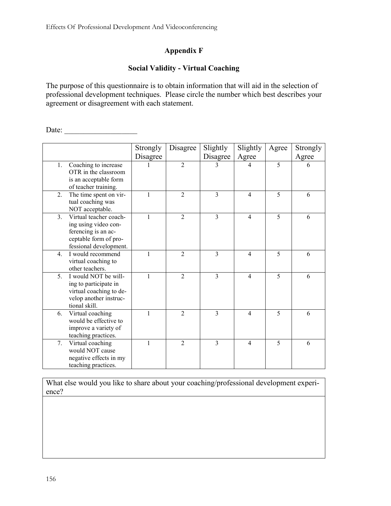## **Appendix F**

#### **Social Validity - Virtual Coaching**

The purpose of this questionnaire is to obtain information that will aid in the selection of professional development techniques. Please circle the number which best describes your agreement or disagreement with each statement.

Date:

|                  |                                                                                                                          | Strongly     | Disagree       | Slightly       | Slightly                 | Agree | Strongly |
|------------------|--------------------------------------------------------------------------------------------------------------------------|--------------|----------------|----------------|--------------------------|-------|----------|
|                  |                                                                                                                          | Disagree     |                | Disagree       | Agree                    |       | Agree    |
| 1.               | Coaching to increase<br>OTR in the classroom<br>is an acceptable form<br>of teacher training.                            |              | $\mathfrak{D}$ | 3              | 4                        | 5     | 6        |
| 2.               | The time spent on vir-<br>tual coaching was<br>NOT acceptable.                                                           |              | 2              | 3              | $\overline{4}$           | 5     | 6        |
| 3.               | Virtual teacher coach-<br>ing using video con-<br>ferencing is an ac-<br>ceptable form of pro-<br>fessional development. | 1            | $\mathfrak{D}$ | $\overline{3}$ | $\overline{4}$           | 5     | 6        |
| $\overline{4}$ . | I would recommend<br>virtual coaching to<br>other teachers.                                                              | $\mathbf{1}$ | $\mathfrak{D}$ | 3              | $\overline{4}$           | 5     | 6        |
| 5 <sub>1</sub>   | I would NOT be will-<br>ing to participate in<br>virtual coaching to de-<br>velop another instruc-<br>tional skill.      | 1            | $\overline{2}$ | $\overline{3}$ | $\overline{4}$           | 5     | 6        |
| 6.               | Virtual coaching<br>would be effective to<br>improve a variety of<br>teaching practices.                                 | 1            | $\overline{2}$ | $\overline{3}$ | $\overline{4}$           | 5     | 6        |
| 7.               | Virtual coaching<br>would NOT cause<br>negative effects in my<br>teaching practices.                                     |              | $\overline{2}$ | 3              | $\overline{\mathcal{L}}$ | 5     | 6        |

What else would you like to share about your coaching/professional development experience?